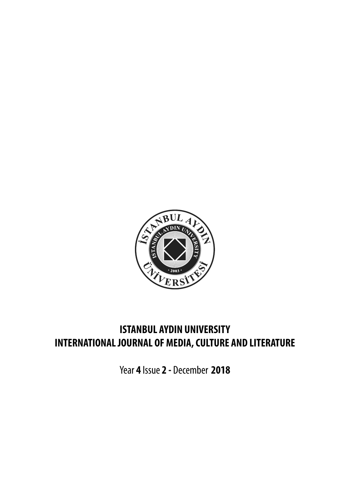

## **ISTANBUL AYDIN UNIVERSITY INTERNATIONAL JOURNAL OF MEDIA, CULTURE AND LITERATURE**

Year **4** Issue **2 -** December **2018**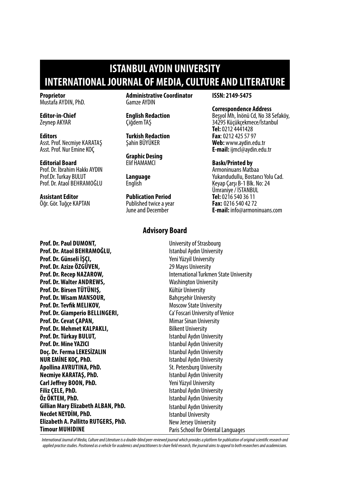## **ISTANBUL AYDIN UNIVERSITY INTERNATIONAL JOURNAL OF MEDIA, CULTURE AND LITERATURE**

**Proprietor** Mustafa Aydın, PhD.

**Editor-in-Chief** Zeynep AKYAR

**Editors** Asst. Prof. Necmiye KARATAŞ Asst. Prof. Nur Emine KOÇ

#### **Editorial Board**

Prof. Dr. İbrahim Hakkı AYDIN Prof.Dr. Turkay BULUT Prof. Dr. Ataol BEHRAMOĞLU

### **Assistant Editor**

Öğr. Gör. Tuğçe KAPTAN

**Administrative Coordinator** Gamze AYDIN

**English Redaction** Çiğdem TAŞ

**Turkish Redaction** Şahin BÜYÜKER

**Graphic Desing** Elif HAMAMCI

**Language English** 

#### **Publication Period** Published twice a year June and December

#### **Advisory Board**

**ISSN: 2149-5475**

#### **Correspondence Address**

Beşyol Mh, İnönü Cd, No 38 Sefaköy, 34295 Küçükçekmece/İstanbul **Tel:** 0212 4441428 **Fax**: 0212 425 57 97 **Web:** www.aydin.edu.tr **E-mail:** ijmcl@aydin.edu.tr

#### **Baskı/Printed by**

Armoninuans Matbaa Yukarıdudullu, Bostancı Yolu Cad. Keyap Çarşı B-1 Blk. No: 24 Ümraniye / İSTANBUL **Tel:** 0216 540 36 11 **Fax:** 0216 540 42 72 **E-mail:** info@armoninuans.com

**Prof. Dr. Paul Dumont, Prof. Dr. Ataol Behramoğlu, Prof. Dr. Günseli İşçi, Prof. Dr. Azize Özgüven, Prof. Dr. Recep Nazarow,**  Prof. Dr. Walter ANDREWS, **Prof. Dr. Birsen Tütüniş, Prof. Dr. Wisam Mansour, Prof. Dr. Tevfik Melikov, Prof. Dr. Giamperio Bellingeri, Prof. Dr. Cevat Çapan, Prof. Dr. Mehmet Kalpaklı, Prof. Dr. Türkay Bulut, Prof. Dr. Mine YAZICI Doç. Dr. Ferma LEKESİZALIN NUR EMİNE KOÇ, PhD. Apollina Avrutina, PhD. Necmiye Karataş, PhD. Carl Jeffrey Boon, PhD. Filiz Çele, PhD. Öz Öktem, PhD. Gillian Mary Elizabeth Alban, PhD. Necdet NEYDİM, PhD. Elizabeth A. Pallitto RUTGERS, PhD. Timour Muhidine**

University of Strasbourg Istanbul Aydın University Yeni Yüzyil University 29 Mayıs University International Turkmen State University Washington University Kültür University Bahçeşehir University Moscow State University Ca' Foscari University of Venice Mimar Sinan University Bilkent University Istanbul Aydın University Istanbul Aydın University Istanbul Aydın University Istanbul Aydın University St. Petersburg University Istanbul Aydın University Yeni Yüzyıl University Istanbul Aydın University Istanbul Aydın University Istanbul Aydın University Istanbul University New Jersey University Paris School for Oriental Languages

*International Journal of Media, Culture and Literature is a double-blind peer-reviewed journal which provides a platform for publication of original scientific research and applied practice studies. Positioned as a vehicle for academics and practitioners to share field research, the journal aims to appeal to both researchers and academicians.*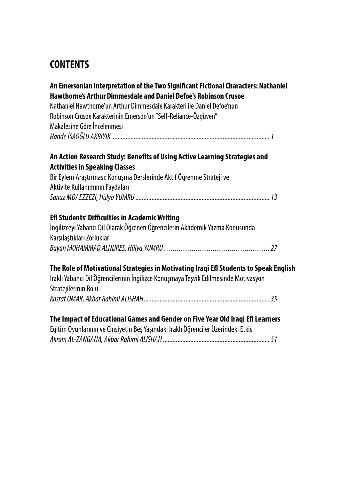## **CONTENTS**

| An Emersonian Interpretation of the Two Significant Fictional Characters: Nathaniel   |  |
|---------------------------------------------------------------------------------------|--|
| Hawthorne's Arthur Dimmesdale and Daniel Defoe's Robinson Crusoe                      |  |
| Nathaniel Hawthorne'un Arthur Dimmesdale Karakteri ile Daniel Defoe'nun               |  |
| Robinson Crusoe Karakterinin Emerson'un "Self-Reliance-Özgüven"                       |  |
| Makalesine Göre İncelenmesi                                                           |  |
|                                                                                       |  |
| An Action Research Study: Benefits of Using Active Learning Strategies and            |  |
| <b>Activities in Speaking Classes</b>                                                 |  |
| Bir Eylem Araştırması: Konuşma Derslerinde Aktif Öğrenme Strateji ve                  |  |
| Aktivite Kullanımının Faydaları                                                       |  |
|                                                                                       |  |
|                                                                                       |  |
| <b>Efl Students' Difficulties in Academic Writing</b>                                 |  |
| İngilizceyi Yabancı Dil Olarak Öğrenen Öğrencilerin Akademik Yazma Konusunda          |  |
| Karşılaştıkları Zorluklar                                                             |  |
|                                                                                       |  |
|                                                                                       |  |
| The Role of Motivational Strategies in Motivating Iraqi Efl Students to Speak English |  |
| Iraklı Yabancı Dil Öğrencilerinin İngilizce Konuşmaya Teşvik Edilmesinde Motivasyon   |  |
| Stratejilerinin Rolü                                                                  |  |
|                                                                                       |  |
| The Impact of Educational Games and Gender on Five Year Old Iraqi Efl Learners        |  |
| Eğitim Oyunlarının ve Cinsiyetin Beş Yaşındaki Iraklı Öğrenciler Üzerindeki Etkisi    |  |
|                                                                                       |  |
|                                                                                       |  |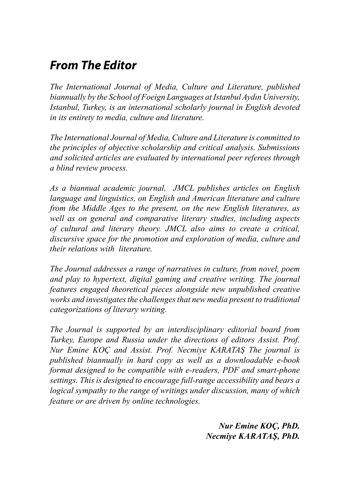# *From The Editor*

*The International Journal of Media, Culture and Literature, published biannually by the School of Foeign Languages at Istanbul Aydın University, Istanbul, Turkey, is an international scholarly journal in English devoted in its entirety to media, culture and literature.*

*The International Journal of Media, Culture and Literature is committed to the principles of objective scholarship and critical analysis. Submissions and solicited articles are evaluated by international peer referees through a blind review process.*

*As a biannual academic journal, JMCL publishes articles on English language and linguistics, on English and American literature and culture from the Middle Ages to the present, on the new English literatures, as well as on general and comparative literary studies, including aspects of cultural and literary theory. JMCL also aims to create a critical, discursive space for the promotion and exploration of media, culture and their relations with literature.* 

*The Journal addresses a range of narratives in culture, from novel, poem and play to hypertext, digital gaming and creative writing. The journal features engaged theoretical pieces alongside new unpublished creative works and investigates the challenges that new media present to traditional categorizations of literary writing.*

*The Journal is supported by an interdisciplinary editorial board from Turkey, Europe and Russia under the directions of editors Assist. Prof. Nur Emine KOÇ and Assist. Prof. Necmiye KARATAŞ The journal is published biannually in hard copy as well as a downloadable e-book format designed to be compatible with e-readers, PDF and smart-phone settings. This is designed to encourage full-range accessibility and bears a logical sympathy to the range of writings under discussion, many of which feature or are driven by online technologies.*

> *Nur Emine KOÇ, PhD. Necmiye Karataş, PhD.*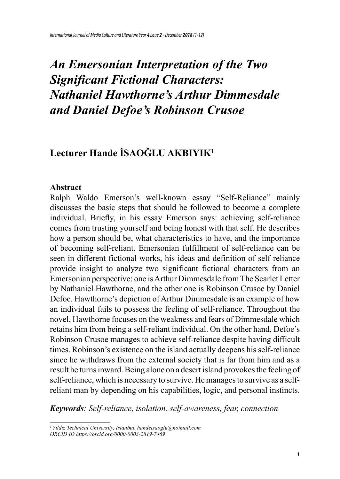# *An Emersonian Interpretation of the Two Significant Fictional Characters: Nathaniel Hawthorne's Arthur Dimmesdale and Daniel Defoe's Robinson Crusoe*

## **Lecturer Hande İSAOĞLU AKBIYIK<sup>1</sup>**

#### **Abstract**

Ralph Waldo Emerson's well-known essay "Self-Reliance" mainly discusses the basic steps that should be followed to become a complete individual. Briefly, in his essay Emerson says: achieving self-reliance comes from trusting yourself and being honest with that self. He describes how a person should be, what characteristics to have, and the importance of becoming self-reliant. Emersonian fulfillment of self-reliance can be seen in different fictional works, his ideas and definition of self-reliance provide insight to analyze two significant fictional characters from an Emersonian perspective: one is Arthur Dimmesdale from The Scarlet Letter by Nathaniel Hawthorne, and the other one is Robinson Crusoe by Daniel Defoe. Hawthorne's depiction of Arthur Dimmesdale is an example of how an individual fails to possess the feeling of self-reliance. Throughout the novel, Hawthorne focuses on the weakness and fears of Dimmesdale which retains him from being a self-reliant individual. On the other hand, Defoe's Robinson Crusoe manages to achieve self-reliance despite having difficult times. Robinson's existence on the island actually deepens his self-reliance since he withdraws from the external society that is far from him and as a result he turns inward. Being alone on a desert island provokes the feeling of self-reliance, which is necessary to survive. He manages to survive as a selfreliant man by depending on his capabilities, logic, and personal instincts.

*Keywords: Self-reliance, isolation, self-awareness, fear, connection*

*<sup>1</sup>Yıldız Technical University, Istanbul, handeisaoglu@hotmail.com ORCID ID https://orcid.org/0000-0003-2819-7469*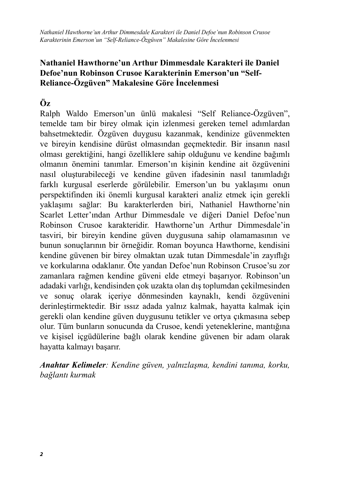*Nathaniel Hawthorne'un Arthur Dimmesdale Karakteri ile Daniel Defoe'nun Robinson Crusoe Karakterinin Emerson'un "Self-Reliance-Özgüven" Makalesine Göre İncelenmesi*

### **Nathaniel Hawthorne'un Arthur Dimmesdale Karakteri ile Daniel Defoe'nun Robinson Crusoe Karakterinin Emerson'un "Self-Reliance-Özgüven" Makalesine Göre İncelenmesi**

### **Öz**

Ralph Waldo Emerson'un ünlü makalesi "Self Reliance-Özgüven", temelde tam bir birey olmak için izlenmesi gereken temel adımlardan bahsetmektedir. Özgüven duygusu kazanmak, kendinize güvenmekten ve bireyin kendisine dürüst olmasından geçmektedir. Bir insanın nasıl olması gerektiğini, hangi özelliklere sahip olduğunu ve kendine bağımlı olmanın önemini tanımlar. Emerson'ın kişinin kendine ait özgüvenini nasıl oluşturabileceği ve kendine güven ifadesinin nasıl tanımladığı farklı kurgusal eserlerde görülebilir. Emerson'un bu yaklaşımı onun perspektifinden iki önemli kurgusal karakteri analiz etmek için gerekli yaklaşımı sağlar: Bu karakterlerden biri, Nathaniel Hawthorne'nin Scarlet Letter'ından Arthur Dimmesdale ve diğeri Daniel Defoe'nun Robinson Crusoe karakteridir. Hawthorne'un Arthur Dimmesdale'in tasviri, bir bireyin kendine güven duygusuna sahip olamamasının ve bunun sonuçlarının bir örneğidir. Roman boyunca Hawthorne, kendisini kendine güvenen bir birey olmaktan uzak tutan Dimmesdale'in zayıflığı ve korkularına odaklanır. Öte yandan Defoe'nun Robinson Crusoe'su zor zamanlara rağmen kendine güveni elde etmeyi başarıyor. Robinson'un adadaki varlığı, kendisinden çok uzakta olan dış toplumdan çekilmesinden ve sonuç olarak içeriye dönmesinden kaynaklı, kendi özgüvenini derinleştirmektedir. Bir ıssız adada yalnız kalmak, hayatta kalmak için gerekli olan kendine güven duygusunu tetikler ve ortya çıkmasına sebep olur. Tüm bunların sonucunda da Crusoe, kendi yeteneklerine, mantığına ve kişisel içgüdülerine bağlı olarak kendine güvenen bir adam olarak hayatta kalmayı başarır.

*Anahtar Kelimeler: Kendine güven, yalnızlaşma, kendini tanıma, korku, bağlantı kurmak*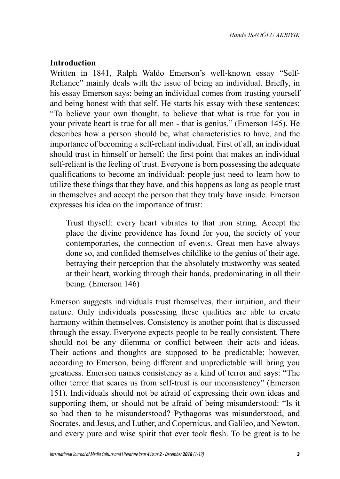### **Introduction**

Written in 1841, Ralph Waldo Emerson's well-known essay "Self-Reliance" mainly deals with the issue of being an individual. Briefly, in his essay Emerson says: being an individual comes from trusting yourself and being honest with that self. He starts his essay with these sentences; "To believe your own thought, to believe that what is true for you in your private heart is true for all men - that is genius." (Emerson 145). He describes how a person should be, what characteristics to have, and the importance of becoming a self-reliant individual. First of all, an individual should trust in himself or herself: the first point that makes an individual self-reliant is the feeling of trust. Everyone is born possessing the adequate qualifications to become an individual: people just need to learn how to utilize these things that they have, and this happens as long as people trust in themselves and accept the person that they truly have inside. Emerson expresses his idea on the importance of trust:

Trust thyself: every heart vibrates to that iron string. Accept the place the divine providence has found for you, the society of your contemporaries, the connection of events. Great men have always done so, and confided themselves childlike to the genius of their age, betraying their perception that the absolutely trustworthy was seated at their heart, working through their hands, predominating in all their being. (Emerson 146)

Emerson suggests individuals trust themselves, their intuition, and their nature. Only individuals possessing these qualities are able to create harmony within themselves. Consistency is another point that is discussed through the essay. Everyone expects people to be really consistent. There should not be any dilemma or conflict between their acts and ideas. Their actions and thoughts are supposed to be predictable; however, according to Emerson, being different and unpredictable will bring you greatness. Emerson names consistency as a kind of terror and says: "The other terror that scares us from self-trust is our inconsistency" (Emerson 151). Individuals should not be afraid of expressing their own ideas and supporting them, or should not be afraid of being misunderstood: "Is it so bad then to be misunderstood? Pythagoras was misunderstood, and Socrates, and Jesus, and Luther, and Copernicus, and Galileo, and Newton, and every pure and wise spirit that ever took flesh. To be great is to be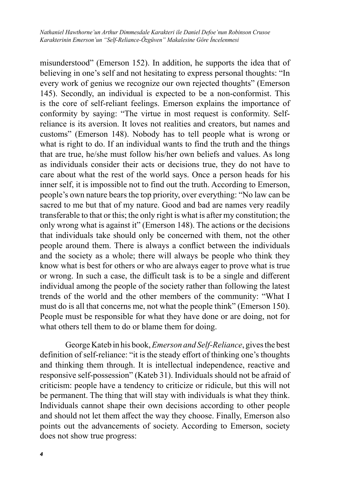*Nathaniel Hawthorne'un Arthur Dimmesdale Karakteri ile Daniel Defoe'nun Robinson Crusoe Karakterinin Emerson'un "Self-Reliance-Özgüven" Makalesine Göre İncelenmesi*

misunderstood" (Emerson 152). In addition, he supports the idea that of believing in one's self and not hesitating to express personal thoughts: "In every work of genius we recognize our own rejected thoughts" (Emerson 145). Secondly, an individual is expected to be a non-conformist. This is the core of self-reliant feelings. Emerson explains the importance of conformity by saying: "The virtue in most request is conformity. Selfreliance is its aversion. It loves not realities and creators, but names and customs" (Emerson 148). Nobody has to tell people what is wrong or what is right to do. If an individual wants to find the truth and the things that are true, he/she must follow his/her own beliefs and values. As long as individuals consider their acts or decisions true, they do not have to care about what the rest of the world says. Once a person heads for his inner self, it is impossible not to find out the truth. According to Emerson, people's own nature bears the top priority, over everything: "No law can be sacred to me but that of my nature. Good and bad are names very readily transferable to that or this; the only right is what is after my constitution; the only wrong what is against it" (Emerson 148). The actions or the decisions that individuals take should only be concerned with them, not the other people around them. There is always a conflict between the individuals and the society as a whole; there will always be people who think they know what is best for others or who are always eager to prove what is true or wrong. In such a case, the difficult task is to be a single and different individual among the people of the society rather than following the latest trends of the world and the other members of the community: "What I must do is all that concerns me, not what the people think" (Emerson 150). People must be responsible for what they have done or are doing, not for what others tell them to do or blame them for doing.

George Kateb in his book, *Emerson and Self-Reliance*, gives the best definition of self-reliance: "it is the steady effort of thinking one's thoughts and thinking them through. It is intellectual independence, reactive and responsive self-possession" (Kateb 31). Individuals should not be afraid of criticism: people have a tendency to criticize or ridicule, but this will not be permanent. The thing that will stay with individuals is what they think. Individuals cannot shape their own decisions according to other people and should not let them affect the way they choose. Finally, Emerson also points out the advancements of society. According to Emerson, society does not show true progress: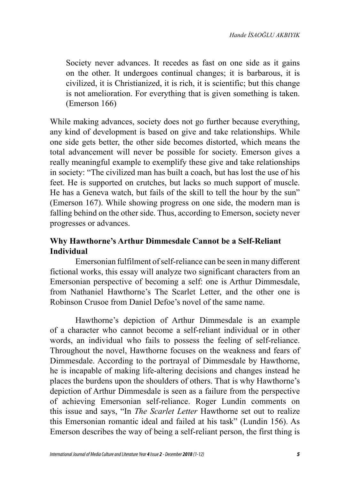Society never advances. It recedes as fast on one side as it gains on the other. It undergoes continual changes; it is barbarous, it is civilized, it is Christianized, it is rich, it is scientific; but this change is not amelioration. For everything that is given something is taken. (Emerson 166)

While making advances, society does not go further because everything, any kind of development is based on give and take relationships. While one side gets better, the other side becomes distorted, which means the total advancement will never be possible for society. Emerson gives a really meaningful example to exemplify these give and take relationships in society: "The civilized man has built a coach, but has lost the use of his feet. He is supported on crutches, but lacks so much support of muscle. He has a Geneva watch, but fails of the skill to tell the hour by the sun" (Emerson 167). While showing progress on one side, the modern man is falling behind on the other side. Thus, according to Emerson, society never progresses or advances.

### **Why Hawthorne's Arthur Dimmesdale Cannot be a Self-Reliant Individual**

Emersonian fulfilment of self-reliance can be seen in many different fictional works, this essay will analyze two significant characters from an Emersonian perspective of becoming a self: one is Arthur Dimmesdale, from Nathaniel Hawthorne's The Scarlet Letter, and the other one is Robinson Crusoe from Daniel Defoe's novel of the same name.

Hawthorne's depiction of Arthur Dimmesdale is an example of a character who cannot become a self-reliant individual or in other words, an individual who fails to possess the feeling of self-reliance. Throughout the novel, Hawthorne focuses on the weakness and fears of Dimmesdale. According to the portrayal of Dimmesdale by Hawthorne, he is incapable of making life-altering decisions and changes instead he places the burdens upon the shoulders of others. That is why Hawthorne's depiction of Arthur Dimmesdale is seen as a failure from the perspective of achieving Emersonian self-reliance. Roger Lundin comments on this issue and says, "In *The Scarlet Letter* Hawthorne set out to realize this Emersonian romantic ideal and failed at his task" (Lundin 156). As Emerson describes the way of being a self-reliant person, the first thing is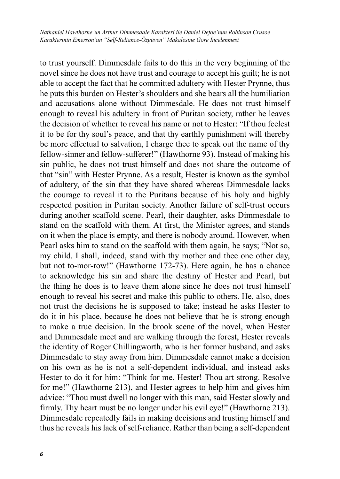*Nathaniel Hawthorne'un Arthur Dimmesdale Karakteri ile Daniel Defoe'nun Robinson Crusoe Karakterinin Emerson'un "Self-Reliance-Özgüven" Makalesine Göre İncelenmesi*

to trust yourself. Dimmesdale fails to do this in the very beginning of the novel since he does not have trust and courage to accept his guilt; he is not able to accept the fact that he committed adultery with Hester Prynne, thus he puts this burden on Hester's shoulders and she bears all the humiliation and accusations alone without Dimmesdale. He does not trust himself enough to reveal his adultery in front of Puritan society, rather he leaves the decision of whether to reveal his name or not to Hester: "If thou feelest it to be for thy soul's peace, and that thy earthly punishment will thereby be more effectual to salvation, I charge thee to speak out the name of thy fellow-sinner and fellow-sufferer!" (Hawthorne 93). Instead of making his sin public, he does not trust himself and does not share the outcome of that "sin" with Hester Prynne. As a result, Hester is known as the symbol of adultery, of the sin that they have shared whereas Dimmesdale lacks the courage to reveal it to the Puritans because of his holy and highly respected position in Puritan society. Another failure of self-trust occurs during another scaffold scene. Pearl, their daughter, asks Dimmesdale to stand on the scaffold with them. At first, the Minister agrees, and stands on it when the place is empty, and there is nobody around. However, when Pearl asks him to stand on the scaffold with them again, he says; "Not so, my child. I shall, indeed, stand with thy mother and thee one other day, but not to-mor-row!" (Hawthorne 172-73). Here again, he has a chance to acknowledge his sin and share the destiny of Hester and Pearl, but the thing he does is to leave them alone since he does not trust himself enough to reveal his secret and make this public to others. He, also, does not trust the decisions he is supposed to take; instead he asks Hester to do it in his place, because he does not believe that he is strong enough to make a true decision. In the brook scene of the novel, when Hester and Dimmesdale meet and are walking through the forest, Hester reveals the identity of Roger Chillingworth, who is her former husband, and asks Dimmesdale to stay away from him. Dimmesdale cannot make a decision on his own as he is not a self-dependent individual, and instead asks Hester to do it for him: "Think for me, Hester! Thou art strong. Resolve for me!" (Hawthorne 213), and Hester agrees to help him and gives him advice: "Thou must dwell no longer with this man, said Hester slowly and firmly. Thy heart must be no longer under his evil eye!" (Hawthorne 213). Dimmesdale repeatedly fails in making decisions and trusting himself and thus he reveals his lack of self-reliance. Rather than being a self-dependent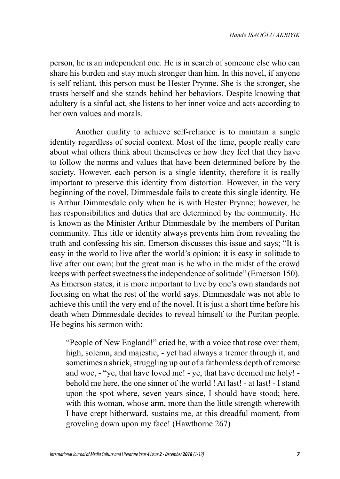person, he is an independent one. He is in search of someone else who can share his burden and stay much stronger than him. In this novel, if anyone is self-reliant, this person must be Hester Prynne. She is the stronger, she trusts herself and she stands behind her behaviors. Despite knowing that adultery is a sinful act, she listens to her inner voice and acts according to her own values and morals.

Another quality to achieve self-reliance is to maintain a single identity regardless of social context. Most of the time, people really care about what others think about themselves or how they feel that they have to follow the norms and values that have been determined before by the society. However, each person is a single identity, therefore it is really important to preserve this identity from distortion. However, in the very beginning of the novel, Dimmesdale fails to create this single identity. He is Arthur Dimmesdale only when he is with Hester Prynne; however, he has responsibilities and duties that are determined by the community. He is known as the Minister Arthur Dimmesdale by the members of Puritan community. This title or identity always prevents him from revealing the truth and confessing his sin. Emerson discusses this issue and says; "It is easy in the world to live after the world's opinion; it is easy in solitude to live after our own; but the great man is he who in the midst of the crowd keeps with perfect sweetness the independence of solitude" (Emerson 150). As Emerson states, it is more important to live by one's own standards not focusing on what the rest of the world says. Dimmesdale was not able to achieve this until the very end of the novel. It is just a short time before his death when Dimmesdale decides to reveal himself to the Puritan people. He begins his sermon with:

"People of New England!" cried he, with a voice that rose over them, high, solemn, and majestic, - yet had always a tremor through it, and sometimes a shriek, struggling up out of a fathomless depth of remorse and woe, - "ye, that have loved me! - ye, that have deemed me holy! behold me here, the one sinner of the world ! At last! - at last! - I stand upon the spot where, seven years since, I should have stood; here, with this woman, whose arm, more than the little strength wherewith I have crept hitherward, sustains me, at this dreadful moment, from groveling down upon my face! (Hawthorne 267)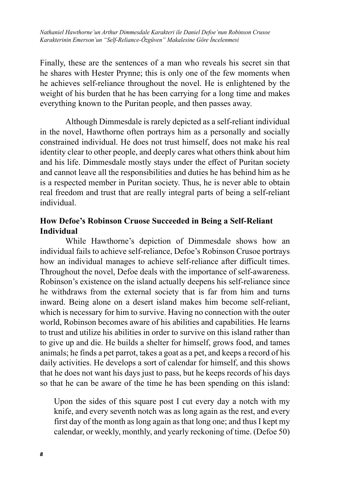*Nathaniel Hawthorne'un Arthur Dimmesdale Karakteri ile Daniel Defoe'nun Robinson Crusoe Karakterinin Emerson'un "Self-Reliance-Özgüven" Makalesine Göre İncelenmesi*

Finally, these are the sentences of a man who reveals his secret sin that he shares with Hester Prynne; this is only one of the few moments when he achieves self-reliance throughout the novel. He is enlightened by the weight of his burden that he has been carrying for a long time and makes everything known to the Puritan people, and then passes away.

Although Dimmesdale is rarely depicted as a self-reliant individual in the novel, Hawthorne often portrays him as a personally and socially constrained individual. He does not trust himself, does not make his real identity clear to other people, and deeply cares what others think about him and his life. Dimmesdale mostly stays under the effect of Puritan society and cannot leave all the responsibilities and duties he has behind him as he is a respected member in Puritan society. Thus, he is never able to obtain real freedom and trust that are really integral parts of being a self-reliant individual.

### **How Defoe's Robinson Cruose Succeeded in Being a Self-Reliant Individual**

While Hawthorne's depiction of Dimmesdale shows how an individual fails to achieve self-reliance, Defoe's Robinson Crusoe portrays how an individual manages to achieve self-reliance after difficult times. Throughout the novel, Defoe deals with the importance of self-awareness. Robinson's existence on the island actually deepens his self-reliance since he withdraws from the external society that is far from him and turns inward. Being alone on a desert island makes him become self-reliant, which is necessary for him to survive. Having no connection with the outer world, Robinson becomes aware of his abilities and capabilities. He learns to trust and utilize his abilities in order to survive on this island rather than to give up and die. He builds a shelter for himself, grows food, and tames animals; he finds a pet parrot, takes a goat as a pet, and keeps a record of his daily activities. He develops a sort of calendar for himself, and this shows that he does not want his days just to pass, but he keeps records of his days so that he can be aware of the time he has been spending on this island:

Upon the sides of this square post I cut every day a notch with my knife, and every seventh notch was as long again as the rest, and every first day of the month as long again as that long one; and thus I kept my calendar, or weekly, monthly, and yearly reckoning of time. (Defoe 50)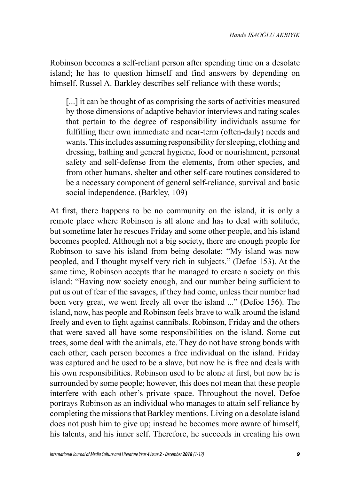Robinson becomes a self-reliant person after spending time on a desolate island; he has to question himself and find answers by depending on himself. Russel A. Barkley describes self-reliance with these words;

[...] it can be thought of as comprising the sorts of activities measured by those dimensions of adaptive behavior interviews and rating scales that pertain to the degree of responsibility individuals assume for fulfilling their own immediate and near-term (often-daily) needs and wants. This includes assuming responsibility for sleeping, clothing and dressing, bathing and general hygiene, food or nourishment, personal safety and self-defense from the elements, from other species, and from other humans, shelter and other self-care routines considered to be a necessary component of general self-reliance, survival and basic social independence. (Barkley, 109)

At first, there happens to be no community on the island, it is only a remote place where Robinson is all alone and has to deal with solitude, but sometime later he rescues Friday and some other people, and his island becomes peopled. Although not a big society, there are enough people for Robinson to save his island from being desolate: "My island was now peopled, and I thought myself very rich in subjects." (Defoe 153). At the same time, Robinson accepts that he managed to create a society on this island: "Having now society enough, and our number being sufficient to put us out of fear of the savages, if they had come, unless their number had been very great, we went freely all over the island ..." (Defoe 156). The island, now, has people and Robinson feels brave to walk around the island freely and even to fight against cannibals. Robinson, Friday and the others that were saved all have some responsibilities on the island. Some cut trees, some deal with the animals, etc. They do not have strong bonds with each other; each person becomes a free individual on the island. Friday was captured and he used to be a slave, but now he is free and deals with his own responsibilities. Robinson used to be alone at first, but now he is surrounded by some people; however, this does not mean that these people interfere with each other's private space. Throughout the novel, Defoe portrays Robinson as an individual who manages to attain self-reliance by completing the missions that Barkley mentions. Living on a desolate island does not push him to give up; instead he becomes more aware of himself, his talents, and his inner self. Therefore, he succeeds in creating his own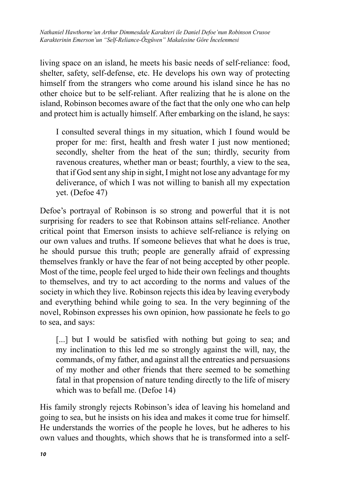*Nathaniel Hawthorne'un Arthur Dimmesdale Karakteri ile Daniel Defoe'nun Robinson Crusoe Karakterinin Emerson'un "Self-Reliance-Özgüven" Makalesine Göre İncelenmesi*

living space on an island, he meets his basic needs of self-reliance: food, shelter, safety, self-defense, etc. He develops his own way of protecting himself from the strangers who come around his island since he has no other choice but to be self-reliant. After realizing that he is alone on the island, Robinson becomes aware of the fact that the only one who can help and protect him is actually himself. After embarking on the island, he says:

I consulted several things in my situation, which I found would be proper for me: first, health and fresh water I just now mentioned; secondly, shelter from the heat of the sun; thirdly, security from ravenous creatures, whether man or beast; fourthly, a view to the sea, that if God sent any ship in sight, I might not lose any advantage for my deliverance, of which I was not willing to banish all my expectation yet. (Defoe 47)

Defoe's portrayal of Robinson is so strong and powerful that it is not surprising for readers to see that Robinson attains self-reliance. Another critical point that Emerson insists to achieve self-reliance is relying on our own values and truths. If someone believes that what he does is true, he should pursue this truth; people are generally afraid of expressing themselves frankly or have the fear of not being accepted by other people. Most of the time, people feel urged to hide their own feelings and thoughts to themselves, and try to act according to the norms and values of the society in which they live. Robinson rejects this idea by leaving everybody and everything behind while going to sea. In the very beginning of the novel, Robinson expresses his own opinion, how passionate he feels to go to sea, and says:

[...] but I would be satisfied with nothing but going to sea; and my inclination to this led me so strongly against the will, nay, the commands, of my father, and against all the entreaties and persuasions of my mother and other friends that there seemed to be something fatal in that propension of nature tending directly to the life of misery which was to befall me. (Defoe 14)

His family strongly rejects Robinson's idea of leaving his homeland and going to sea, but he insists on his idea and makes it come true for himself. He understands the worries of the people he loves, but he adheres to his own values and thoughts, which shows that he is transformed into a self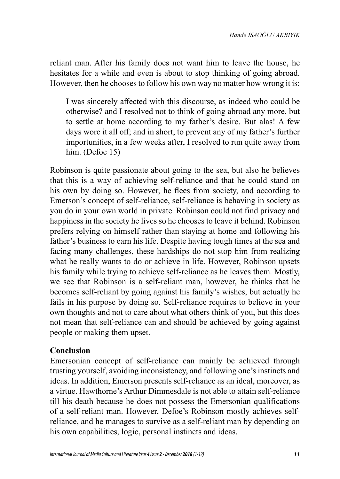reliant man. After his family does not want him to leave the house, he hesitates for a while and even is about to stop thinking of going abroad. However, then he chooses to follow his own way no matter how wrong it is:

I was sincerely affected with this discourse, as indeed who could be otherwise? and I resolved not to think of going abroad any more, but to settle at home according to my father's desire. But alas! A few days wore it all off; and in short, to prevent any of my father's further importunities, in a few weeks after, I resolved to run quite away from him. (Defoe 15)

Robinson is quite passionate about going to the sea, but also he believes that this is a way of achieving self-reliance and that he could stand on his own by doing so. However, he flees from society, and according to Emerson's concept of self-reliance, self-reliance is behaving in society as you do in your own world in private. Robinson could not find privacy and happiness in the society he lives so he chooses to leave it behind. Robinson prefers relying on himself rather than staying at home and following his father's business to earn his life. Despite having tough times at the sea and facing many challenges, these hardships do not stop him from realizing what he really wants to do or achieve in life. However, Robinson upsets his family while trying to achieve self-reliance as he leaves them. Mostly, we see that Robinson is a self-reliant man, however, he thinks that he becomes self-reliant by going against his family's wishes, but actually he fails in his purpose by doing so. Self-reliance requires to believe in your own thoughts and not to care about what others think of you, but this does not mean that self-reliance can and should be achieved by going against people or making them upset.

### **Conclusion**

Emersonian concept of self-reliance can mainly be achieved through trusting yourself, avoiding inconsistency, and following one's instincts and ideas. In addition, Emerson presents self-reliance as an ideal, moreover, as a virtue. Hawthorne's Arthur Dimmesdale is not able to attain self-reliance till his death because he does not possess the Emersonian qualifications of a self-reliant man. However, Defoe's Robinson mostly achieves selfreliance, and he manages to survive as a self-reliant man by depending on his own capabilities, logic, personal instincts and ideas.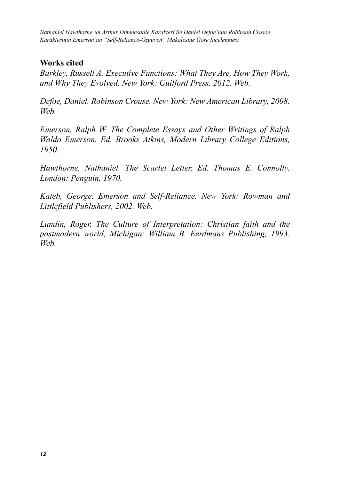*Nathaniel Hawthorne'un Arthur Dimmesdale Karakteri ile Daniel Defoe'nun Robinson Crusoe Karakterinin Emerson'un "Self-Reliance-Özgüven" Makalesine Göre İncelenmesi*

### **Works cited**

*Barkley, Russell A. Executive Functions: What They Are, How They Work, and Why They Evolved, New York: Guilford Press, 2012. Web.*

*Defoe, Daniel. Robinson Crouse. New York: New American Library, 2008. Web.*

*Emerson, Ralph W. The Complete Essays and Other Writings of Ralph Waldo Emerson. Ed. Brooks Atkins, Modern Library College Editions, 1950.*

*Hawthorne, Nathaniel. The Scarlet Letter, Ed. Thomas E. Connolly. London: Penguin, 1970.*

*Kateb, George. Emerson and Self-Reliance. New York: Rowman and Littlefield Publishers, 2002. Web.*

*Lundin, Roger. The Culture of Interpretation: Christian faith and the postmodern world, Michigan: William B. Eerdmans Publishing, 1993. Web.*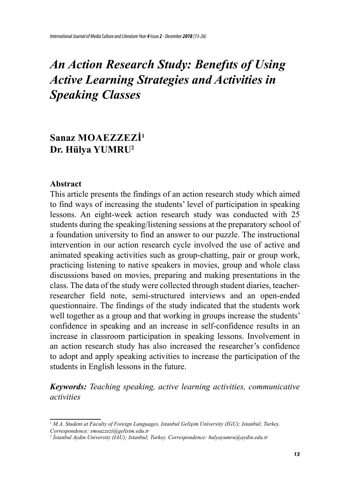# *An Action Research Study: Benefıts of Using Active Learning Strategies and Activities in Speaking Classes*

## **Sanaz Moaezzezi<sup>1</sup> Dr. Hülya YUMRU<sup>2</sup>**

#### **Abstract**

This article presents the findings of an action research study which aimed to find ways of increasing the students' level of participation in speaking lessons. An eight-week action research study was conducted with 25 students during the speaking/listening sessions at the preparatory school of a foundation university to find an answer to our puzzle. The instructional intervention in our action research cycle involved the use of active and animated speaking activities such as group-chatting, pair or group work, practicing listening to native speakers in movies, group and whole class discussions based on movies, preparing and making presentations in the class. The data of the study were collected through student diaries, teacherresearcher field note, semi-structured interviews and an open-ended questionnaire. The findings of the study indicated that the students work well together as a group and that working in groups increase the students' confidence in speaking and an increase in self-confidence results in an increase in classroom participation in speaking lessons. Involvement in an action research study has also increased the researcher's confidence to adopt and apply speaking activities to increase the participation of the students in English lessons in the future.

*Keywords: Teaching speaking, active learning activities, communicative activities*

*<sup>1</sup> M.A. Student at Faculty of Foreign Languages, Istanbul Gelişim University (IGU); Istanbul; Turkey. Correspondence: smoazzezi@gelisim.edu.tr*

*<sup>2</sup> İstanbul Aydın University (IAU); Istanbul; Turkey. Correspondence: hulyayumru@aydin.edu.tr*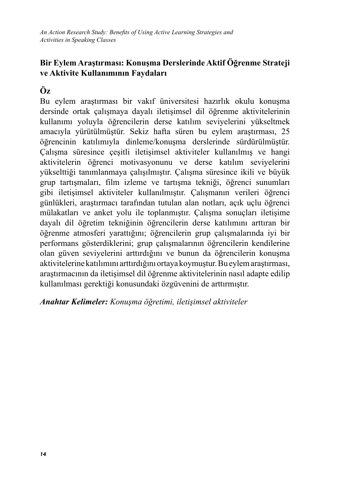### **Bir Eylem Araştırması: Konuşma Derslerinde Aktif Öğrenme Strateji ve Aktivite Kullanımının Faydaları**

### **Öz**

Bu eylem araştırması bir vakıf üniversitesi hazırlık okulu konuşma dersinde ortak çalışmaya dayalı iletişimsel dil öğrenme aktivitelerinin kullanımı yoluyla öğrencilerin derse katılım seviyelerini yükseltmek amacıyla yürütülmüştür. Sekiz hafta süren bu eylem araştırması, 25 öğrencinin katılımıyla dinleme/konuşma derslerinde sürdürülmüştür. Çalışma süresince çeşitli iletişimsel aktiviteler kullanılmış ve hangi aktivitelerin öğrenci motivasyonunu ve derse katılım seviyelerini yükselttiği tanımlanmaya çalışılmıştır. Çalışma süresince ikili ve büyük grup tartışmaları, film izleme ve tartışma tekniği, öğrenci sunumları gibi iletişimsel aktiviteler kullanılmıştır. Çalışmanın verileri öğrenci günlükleri, araştırmacı tarafından tutulan alan notları, açık uçlu öğrenci mülakatları ve anket yolu ile toplanmıştır. Çalışma sonuçları iletişime dayalı dil öğretim tekniğinin öğrencilerin derse katılımını arttıran bir öğrenme atmosferi yarattığını; öğrencilerin grup çalışmalarında iyi bir performans gösterdiklerini; grup çalışmalarının öğrencilerin kendilerine olan güven seviyelerini arttırdığını ve bunun da öğrencilerin konuşma aktivitelerine katılımını arttırdığını ortaya koymuştur. Bu eylem araştırması, araştırmacının da iletişimsel dil öğrenme aktivitelerinin nasıl adapte edilip kullanılması gerektiği konusundaki özgüvenini de arttırmıştır.

*Anahtar Kelimeler: Konuşma öğretimi, iletişimsel aktiviteler*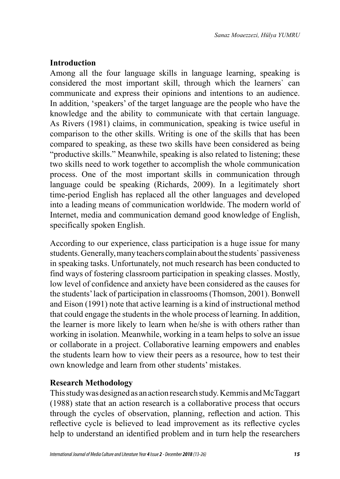### **Introduction**

Among all the four language skills in language learning, speaking is considered the most important skill, through which the learners` can communicate and express their opinions and intentions to an audience. In addition, 'speakers' of the target language are the people who have the knowledge and the ability to communicate with that certain language. As Rivers (1981) claims, in communication, speaking is twice useful in comparison to the other skills. Writing is one of the skills that has been compared to speaking, as these two skills have been considered as being "productive skills." Meanwhile, speaking is also related to listening; these two skills need to work together to accomplish the whole communication process. One of the most important skills in communication through language could be speaking (Richards, 2009). In a legitimately short time-period English has replaced all the other languages and developed into a leading means of communication worldwide. The modern world of Internet, media and communication demand good knowledge of English, specifically spoken English.

According to our experience, class participation is a huge issue for many students. Generally, many teachers complain about the students` passiveness in speaking tasks. Unfortunately, not much research has been conducted to find ways of fostering classroom participation in speaking classes. Mostly, low level of confidence and anxiety have been considered as the causes for the students' lack of participation in classrooms (Thomson, 2001). Bonwell and Eison (1991) note that active learning is a kind of instructional method that could engage the students in the whole process of learning. In addition, the learner is more likely to learn when he/she is with others rather than working in isolation. Meanwhile, working in a team helps to solve an issue or collaborate in a project. Collaborative learning empowers and enables the students learn how to view their peers as a resource, how to test their own knowledge and learn from other students' mistakes.

### **Research Methodology**

This study was designed as an action research study. Kemmis and McTaggart (1988) state that an action research is a collaborative process that occurs through the cycles of observation, planning, reflection and action. This reflective cycle is believed to lead improvement as its reflective cycles help to understand an identified problem and in turn help the researchers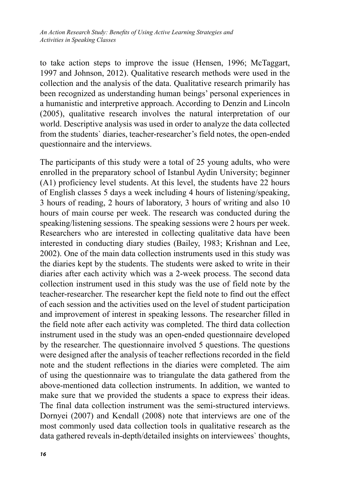to take action steps to improve the issue (Hensen, 1996; McTaggart, 1997 and Johnson, 2012). Qualitative research methods were used in the collection and the analysis of the data. Qualitative research primarily has been recognized as understanding human beings' personal experiences in a humanistic and interpretive approach. According to Denzin and Lincoln (2005), qualitative research involves the natural interpretation of our world. Descriptive analysis was used in order to analyze the data collected from the students` diaries, teacher-researcher's field notes, the open-ended questionnaire and the interviews.

The participants of this study were a total of 25 young adults, who were enrolled in the preparatory school of Istanbul Aydin University; beginner (A1) proficiency level students. At this level, the students have 22 hours of English classes 5 days a week including 4 hours of listening/speaking, 3 hours of reading, 2 hours of laboratory, 3 hours of writing and also 10 hours of main course per week. The research was conducted during the speaking/listening sessions. The speaking sessions were 2 hours per week. Researchers who are interested in collecting qualitative data have been interested in conducting diary studies (Bailey, 1983; Krishnan and Lee, 2002). One of the main data collection instruments used in this study was the diaries kept by the students. The students were asked to write in their diaries after each activity which was a 2-week process. The second data collection instrument used in this study was the use of field note by the teacher-researcher. The researcher kept the field note to find out the effect of each session and the activities used on the level of student participation and improvement of interest in speaking lessons. The researcher filled in the field note after each activity was completed. The third data collection instrument used in the study was an open-ended questionnaire developed by the researcher. The questionnaire involved 5 questions. The questions were designed after the analysis of teacher reflections recorded in the field note and the student reflections in the diaries were completed. The aim of using the questionnaire was to triangulate the data gathered from the above-mentioned data collection instruments. In addition, we wanted to make sure that we provided the students a space to express their ideas. The final data collection instrument was the semi-structured interviews. Dornyei (2007) and Kendall (2008) note that interviews are one of the most commonly used data collection tools in qualitative research as the data gathered reveals in-depth/detailed insights on interviewees` thoughts,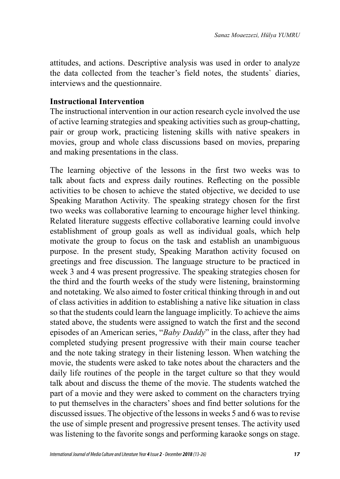attitudes, and actions. Descriptive analysis was used in order to analyze the data collected from the teacher's field notes, the students` diaries, interviews and the questionnaire.

### **Instructional Intervention**

The instructional intervention in our action research cycle involved the use of active learning strategies and speaking activities such as group-chatting, pair or group work, practicing listening skills with native speakers in movies, group and whole class discussions based on movies, preparing and making presentations in the class.

The learning objective of the lessons in the first two weeks was to talk about facts and express daily routines. Reflecting on the possible activities to be chosen to achieve the stated objective, we decided to use Speaking Marathon Activity*.* The speaking strategy chosen for the first two weeks was collaborative learning to encourage higher level thinking. Related literature suggests effective collaborative learning could involve establishment of group goals as well as individual goals, which help motivate the group to focus on the task and establish an unambiguous purpose. In the present study, Speaking Marathon activity focused on greetings and free discussion. The language structure to be practiced in week 3 and 4 was present progressive. The speaking strategies chosen for the third and the fourth weeks of the study were listening, brainstorming and notetaking. We also aimed to foster critical thinking through in and out of class activities in addition to establishing a native like situation in class so that the students could learn the language implicitly. To achieve the aims stated above, the students were assigned to watch the first and the second episodes of an American series, "*Baby Daddy*" in the class, after they had completed studying present progressive with their main course teacher and the note taking strategy in their listening lesson. When watching the movie, the students were asked to take notes about the characters and the daily life routines of the people in the target culture so that they would talk about and discuss the theme of the movie. The students watched the part of a movie and they were asked to comment on the characters trying to put themselves in the characters' shoes and find better solutions for the discussed issues. The objective of the lessons in weeks 5 and 6 was to revise the use of simple present and progressive present tenses. The activity used was listening to the favorite songs and performing karaoke songs on stage.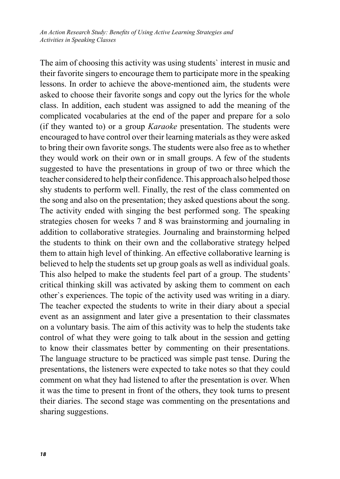*An Action Research Study: Benefits of Using Active Learning Strategies and Activities in Speaking Classes*

The aim of choosing this activity was using students` interest in music and their favorite singers to encourage them to participate more in the speaking lessons. In order to achieve the above-mentioned aim, the students were asked to choose their favorite songs and copy out the lyrics for the whole class. In addition, each student was assigned to add the meaning of the complicated vocabularies at the end of the paper and prepare for a solo (if they wanted to) or a group *Karaoke* presentation. The students were encouraged to have control over their learning materials as they were asked to bring their own favorite songs. The students were also free as to whether they would work on their own or in small groups. A few of the students suggested to have the presentations in group of two or three which the teacher considered to help their confidence. This approach also helped those shy students to perform well. Finally, the rest of the class commented on the song and also on the presentation; they asked questions about the song. The activity ended with singing the best performed song. The speaking strategies chosen for weeks 7 and 8 was brainstorming and journaling in addition to collaborative strategies. Journaling and brainstorming helped the students to think on their own and the collaborative strategy helped them to attain high level of thinking. An effective collaborative learning is believed to help the students set up group goals as well as individual goals. This also helped to make the students feel part of a group. The students' critical thinking skill was activated by asking them to comment on each other`s experiences. The topic of the activity used was writing in a diary. The teacher expected the students to write in their diary about a special event as an assignment and later give a presentation to their classmates on a voluntary basis. The aim of this activity was to help the students take control of what they were going to talk about in the session and getting to know their classmates better by commenting on their presentations. The language structure to be practiced was simple past tense. During the presentations, the listeners were expected to take notes so that they could comment on what they had listened to after the presentation is over. When it was the time to present in front of the others, they took turns to present their diaries. The second stage was commenting on the presentations and sharing suggestions.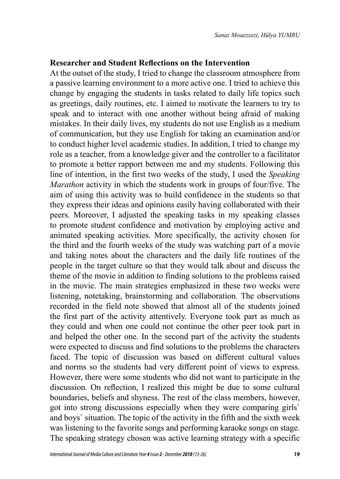### **Researcher and Student Reflections on the Intervention**

At the outset of the study, I tried to change the classroom atmosphere from a passive learning environment to a more active one. I tried to achieve this change by engaging the students in tasks related to daily life topics such as greetings, daily routines, etc. I aimed to motivate the learners to try to speak and to interact with one another without being afraid of making mistakes. In their daily lives, my students do not use English as a medium of communication, but they use English for taking an examination and/or to conduct higher level academic studies. In addition, I tried to change my role as a teacher, from a knowledge giver and the controller to a facilitator to promote a better rapport between me and my students. Following this line of intention, in the first two weeks of the study, I used the *Speaking Marathon* activity in which the students work in groups of four/five. The aim of using this activity was to build confidence in the students so that they express their ideas and opinions easily having collaborated with their peers. Moreover, I adjusted the speaking tasks in my speaking classes to promote student confidence and motivation by employing active and animated speaking activities. More specifically, the activity chosen for the third and the fourth weeks of the study was watching part of a movie and taking notes about the characters and the daily life routines of the people in the target culture so that they would talk about and discuss the theme of the movie in addition to finding solutions to the problems raised in the movie. The main strategies emphasized in these two weeks were listening, notetaking, brainstorming and collaboration*.* The observations recorded in the field note showed that almost all of the students joined the first part of the activity attentively. Everyone took part as much as they could and when one could not continue the other peer took part in and helped the other one. In the second part of the activity the students were expected to discuss and find solutions to the problems the characters faced. The topic of discussion was based on different cultural values and norms so the students had very different point of views to express. However, there were some students who did not want to participate in the discussion. On reflection, I realized this might be due to some cultural boundaries, beliefs and shyness. The rest of the class members, however, got into strong discussions especially when they were comparing girls` and boys` situation. The topic of the activity in the fifth and the sixth week was listening to the favorite songs and performing karaoke songs on stage. The speaking strategy chosen was active learning strategy with a specific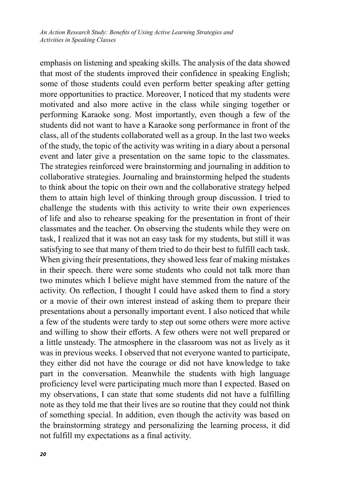emphasis on listening and speaking skills. The analysis of the data showed that most of the students improved their confidence in speaking English; some of those students could even perform better speaking after getting more opportunities to practice. Moreover, I noticed that my students were motivated and also more active in the class while singing together or performing Karaoke song. Most importantly, even though a few of the students did not want to have a Karaoke song performance in front of the class, all of the students collaborated well as a group. In the last two weeks of the study, the topic of the activity was writing in a diary about a personal event and later give a presentation on the same topic to the classmates. The strategies reinforced were brainstorming and journaling in addition to collaborative strategies. Journaling and brainstorming helped the students to think about the topic on their own and the collaborative strategy helped them to attain high level of thinking through group discussion. I tried to challenge the students with this activity to write their own experiences of life and also to rehearse speaking for the presentation in front of their classmates and the teacher. On observing the students while they were on task, I realized that it was not an easy task for my students, but still it was satisfying to see that many of them tried to do their best to fulfill each task. When giving their presentations, they showed less fear of making mistakes in their speech. there were some students who could not talk more than two minutes which I believe might have stemmed from the nature of the activity. On reflection, I thought I could have asked them to find a story or a movie of their own interest instead of asking them to prepare their presentations about a personally important event. I also noticed that while a few of the students were tardy to step out some others were more active and willing to show their efforts. A few others were not well prepared or a little unsteady. The atmosphere in the classroom was not as lively as it was in previous weeks. I observed that not everyone wanted to participate, they either did not have the courage or did not have knowledge to take part in the conversation. Meanwhile the students with high language proficiency level were participating much more than I expected. Based on my observations, I can state that some students did not have a fulfilling note as they told me that their lives are so routine that they could not think of something special. In addition, even though the activity was based on the brainstorming strategy and personalizing the learning process, it did not fulfill my expectations as a final activity.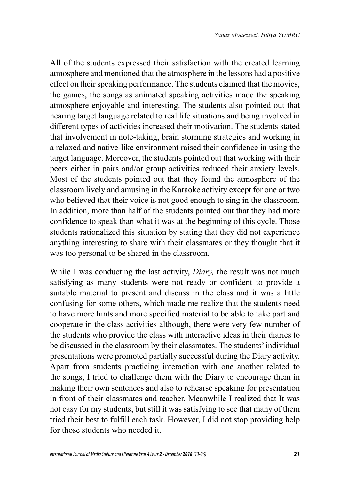All of the students expressed their satisfaction with the created learning atmosphere and mentioned that the atmosphere in the lessons had a positive effect on their speaking performance. The students claimed that the movies, the games, the songs as animated speaking activities made the speaking atmosphere enjoyable and interesting. The students also pointed out that hearing target language related to real life situations and being involved in different types of activities increased their motivation. The students stated that involvement in note-taking, brain storming strategies and working in a relaxed and native-like environment raised their confidence in using the target language. Moreover, the students pointed out that working with their peers either in pairs and/or group activities reduced their anxiety levels. Most of the students pointed out that they found the atmosphere of the classroom lively and amusing in the Karaoke activity except for one or two who believed that their voice is not good enough to sing in the classroom. In addition, more than half of the students pointed out that they had more confidence to speak than what it was at the beginning of this cycle. Those students rationalized this situation by stating that they did not experience anything interesting to share with their classmates or they thought that it was too personal to be shared in the classroom.

While I was conducting the last activity, *Diary,* the result was not much satisfying as many students were not ready or confident to provide a suitable material to present and discuss in the class and it was a little confusing for some others, which made me realize that the students need to have more hints and more specified material to be able to take part and cooperate in the class activities although, there were very few number of the students who provide the class with interactive ideas in their diaries to be discussed in the classroom by their classmates. The students' individual presentations were promoted partially successful during the Diary activity. Apart from students practicing interaction with one another related to the songs, I tried to challenge them with the Diary to encourage them in making their own sentences and also to rehearse speaking for presentation in front of their classmates and teacher. Meanwhile I realized that It was not easy for my students, but still it was satisfying to see that many of them tried their best to fulfill each task. However, I did not stop providing help for those students who needed it.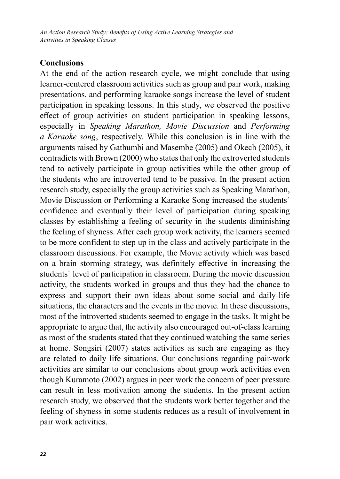*An Action Research Study: Benefits of Using Active Learning Strategies and Activities in Speaking Classes*

### **Conclusions**

At the end of the action research cycle, we might conclude that using learner-centered classroom activities such as group and pair work, making presentations, and performing karaoke songs increase the level of student participation in speaking lessons. In this study, we observed the positive effect of group activities on student participation in speaking lessons, especially in *Speaking Marathon, Movie Discussion* and *Performing a Karaoke song*, respectively. While this conclusion is in line with the arguments raised by Gathumbi and Masembe (2005) and Okech (2005), it contradicts with Brown (2000) who states that only the extroverted students tend to actively participate in group activities while the other group of the students who are introverted tend to be passive. In the present action research study, especially the group activities such as Speaking Marathon, Movie Discussion or Performing a Karaoke Song increased the students` confidence and eventually their level of participation during speaking classes by establishing a feeling of security in the students diminishing the feeling of shyness. After each group work activity, the learners seemed to be more confident to step up in the class and actively participate in the classroom discussions. For example, the Movie activity which was based on a brain storming strategy, was definitely effective in increasing the students` level of participation in classroom. During the movie discussion activity, the students worked in groups and thus they had the chance to express and support their own ideas about some social and daily-life situations, the characters and the events in the movie. In these discussions, most of the introverted students seemed to engage in the tasks. It might be appropriate to argue that, the activity also encouraged out-of-class learning as most of the students stated that they continued watching the same series at home. Songsiri (2007) states activities as such are engaging as they are related to daily life situations. Our conclusions regarding pair-work activities are similar to our conclusions about group work activities even though Kuramoto (2002) argues in peer work the concern of peer pressure can result in less motivation among the students. In the present action research study, we observed that the students work better together and the feeling of shyness in some students reduces as a result of involvement in pair work activities.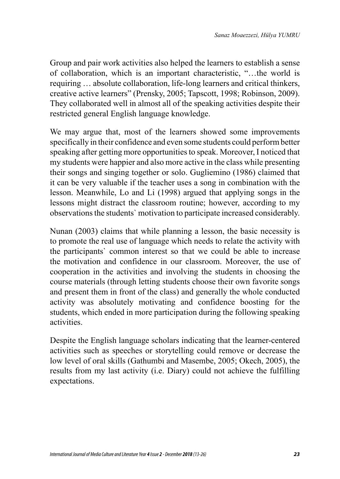Group and pair work activities also helped the learners to establish a sense of collaboration, which is an important characteristic, "…the world is requiring … absolute collaboration, life-long learners and critical thinkers, creative active learners" (Prensky, 2005; Tapscott, 1998; Robinson, 2009). They collaborated well in almost all of the speaking activities despite their restricted general English language knowledge.

We may argue that, most of the learners showed some improvements specifically in their confidence and even some students could perform better speaking after getting more opportunities to speak. Moreover, I noticed that my students were happier and also more active in the class while presenting their songs and singing together or solo. Gugliemino (1986) claimed that it can be very valuable if the teacher uses a song in combination with the lesson. Meanwhile, Lo and Li (1998) argued that applying songs in the lessons might distract the classroom routine; however, according to my observations the students` motivation to participate increased considerably.

Nunan (2003) claims that while planning a lesson, the basic necessity is to promote the real use of language which needs to relate the activity with the participants` common interest so that we could be able to increase the motivation and confidence in our classroom. Moreover, the use of cooperation in the activities and involving the students in choosing the course materials (through letting students choose their own favorite songs and present them in front of the class) and generally the whole conducted activity was absolutely motivating and confidence boosting for the students, which ended in more participation during the following speaking activities.

Despite the English language scholars indicating that the learner-centered activities such as speeches or storytelling could remove or decrease the low level of oral skills (Gathumbi and Masembe, 2005; Okech, 2005), the results from my last activity (i.e. Diary) could not achieve the fulfilling expectations.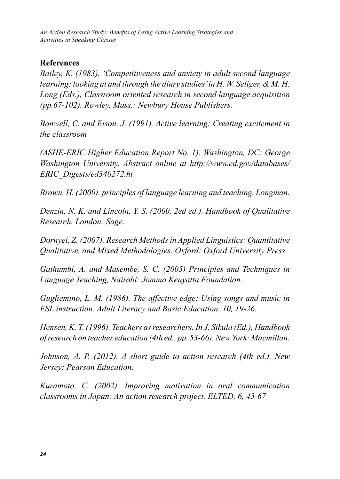*An Action Research Study: Benefits of Using Active Learning Strategies and Activities in Speaking Classes*

### **References**

*Bailey, K. (1983). 'Competitiveness and anxiety in adult second language learning: looking at and through the diary studies' in H. W. Seliger, & M. H. Long (Eds.), Classroom oriented research in second language acquisition (pp.67-102). Rowley, Mass.: Newbury House Publishers.*

*Bonwell, C. and Eison, J. (1991). Active learning: Creating excitement in the classroom* 

*(ASHE-ERIC Higher Education Report No. 1). Washington, DC: George Washington University. Abstract online at http://www.ed.gov/databases/ ERIC\_Digests/ed340272.ht*

*Brown, H. (2000). principles of language learning and teaching. Longman.*

*Denzin, N. K. and Lincoln, Y. S. (2000, 2ed ed.). Handbook of Qualitative Research. London: Sage.*

*Dornyei, Z. (2007). Research Methods in Applied Linguistics: Quantitative Qualitative, and Mixed Methodologies. Oxford: Oxford University Press.*

*Gathumbi, A. and Masembe, S. C. (2005) Principles and Techniques in Language Teaching, Nairobi: Jommo Kenyatta Foundation.* 

*Gugliemino, L. M. (1986). The affective edge: Using songs and music in ESL instruction. Adult Literacy and Basic Education. 10, 19-26.* 

*Hensen, K. T. (1996). Teachers as researchers. In J. Sikula (Ed.), Handbook of research on teacher education (4th ed., pp. 53-66). New York: Macmillan.*

*Johnson, A. P. (2012). A short guide to action research (4th ed.). New Jersey: Pearson Education.*

*Kuramoto, C. (2002). Improving motivation in oral communication classrooms in Japan: An action research project. ELTED, 6, 45-67*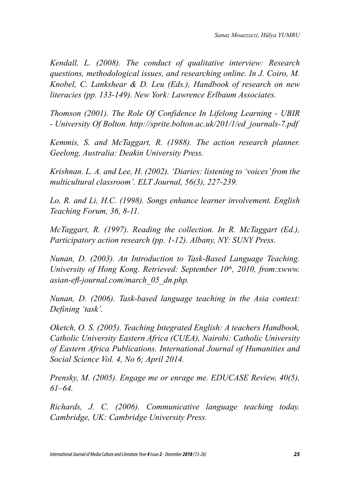*Kendall, L. (2008). The conduct of qualitative interview: Research questions, methodological issues, and researching online. In J. Coiro, M. Knobel, C. Lankshear & D. Leu (Eds.), Handbook of research on new literacies (pp. 133-149). New York: Lawrence Erlbaum Associates.*

*Thomson (2001). The Role Of Confidence In Lifelong Learning - UBIR - University Of Bolton. http://sprite.bolton.ac.uk/201/1/ed\_journals-7.pdf*

*Kemmis, S. and McTaggart, R. (1988). The action research planner. Geelong, Australia: Deakin University Press.*

*Krishnan. L. A. and Lee, H. (2002). 'Diaries: listening to 'voices' from the multicultural classroom'. ELT Journal, 56(3), 227-239.*

*Lo, R. and Li, H.C. (1998). Songs enhance learner involvement. English Teaching Forum, 36, 8-11.* 

*McTaggart, R. (1997). Reading the collection. In R. McTaggart (Ed.), Participatory action research (pp. 1-12). Albany, NY: SUNY Press.*

*Nunan, D. (2003). An Introduction to Task-Based Language Teaching. University of Hong Kong. Retrieved: September 10th, 2010, from:xwww. asian-efl-journal.com/march\_05\_dn.php.* 

*Nunan, D. (2006). Task-based language teaching in the Asia context: Defining 'task'.* 

*Oketch, O. S. (2005). Teaching Integrated English: A teachers Handbook, Catholic University Eastern Africa (CUEA), Nairobi: Catholic University of Eastern Africa Publications. International Journal of Humanities and Social Science Vol. 4, No 6; April 2014.* 

*Prensky, M. (2005). Engage me or enrage me. EDUCASE Review, 40(5), 61–64.* 

*Richards, J. C. (2006). Communicative language teaching today. Cambridge, UK: Cambridge University Press.*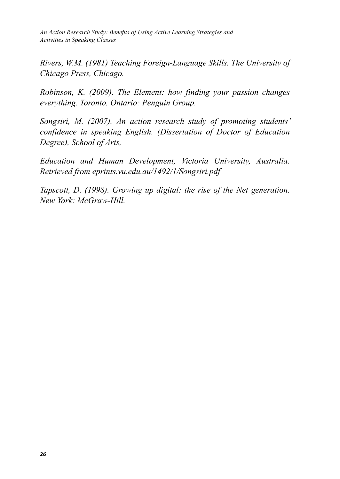*An Action Research Study: Benefits of Using Active Learning Strategies and Activities in Speaking Classes*

*Rivers, W.M. (1981) Teaching Foreign-Language Skills. The University of Chicago Press, Chicago.*

*Robinson, K. (2009). The Element: how finding your passion changes everything. Toronto, Ontario: Penguin Group.*

*Songsiri, M. (2007). An action research study of promoting students' confidence in speaking English. (Dissertation of Doctor of Education Degree), School of Arts,* 

*Education and Human Development, Victoria University, Australia. Retrieved from eprints.vu.edu.au/1492/1/Songsiri.pdf* 

*Tapscott, D. (1998). Growing up digital: the rise of the Net generation. New York: McGraw-Hill.*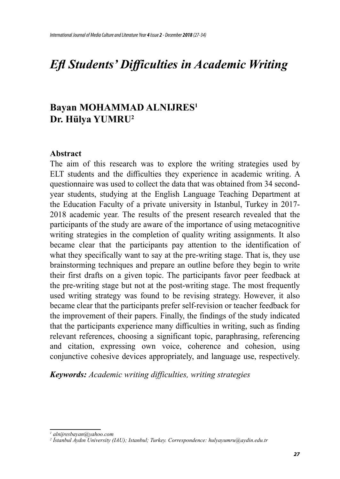# *Efl Students' Difficulties in Academic Writing*

## **Bayan MOHAMMAD ALNIJRES<sup>1</sup> Dr. Hülya YUMRU<sup>2</sup>**

#### **Abstract**

The aim of this research was to explore the writing strategies used by ELT students and the difficulties they experience in academic writing. A questionnaire was used to collect the data that was obtained from 34 secondyear students, studying at the English Language Teaching Department at the Education Faculty of a private university in Istanbul, Turkey in 2017- 2018 academic year. The results of the present research revealed that the participants of the study are aware of the importance of using metacognitive writing strategies in the completion of quality writing assignments. It also became clear that the participants pay attention to the identification of what they specifically want to say at the pre-writing stage. That is, they use brainstorming techniques and prepare an outline before they begin to write their first drafts on a given topic. The participants favor peer feedback at the pre-writing stage but not at the post-writing stage. The most frequently used writing strategy was found to be revising strategy. However, it also became clear that the participants prefer self-revision or teacher feedback for the improvement of their papers. Finally, the findings of the study indicated that the participants experience many difficulties in writing, such as finding relevant references, choosing a significant topic, paraphrasing, referencing and citation, expressing own voice, coherence and cohesion, using conjunctive cohesive devices appropriately, and language use, respectively.

*Keywords: Academic writing difficulties, writing strategies* 

*<sup>1</sup> alnijresbayan@yahoo.com*

*<sup>2</sup> İstanbul Aydın University (IAU); Istanbul; Turkey. Correspondence: hulyayumru@aydin.edu.tr*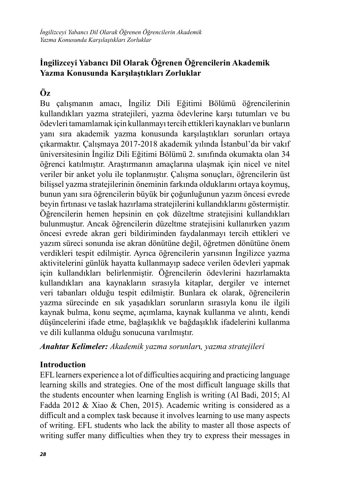### **İngilizceyi Yabancı Dil Olarak Öğrenen Öğrencilerin Akademik Yazma Konusunda Karşılaştıkları Zorluklar**

## **Öz**

Bu çalışmanın amacı, İngiliz Dili Eğitimi Bölümü öğrencilerinin kullandıkları yazma stratejileri, yazma ödevlerine karşı tutumları ve bu ödevleri tamamlamak için kullanmayı tercih ettikleri kaynakları ve bunların yanı sıra akademik yazma konusunda karşılaştıkları sorunları ortaya çıkarmaktır. Çalışmaya 2017-2018 akademik yılında İstanbul'da bir vakıf üniversitesinin İngiliz Dili Eğitimi Bölümü 2. sınıfında okumakta olan 34 öğrenci katılmıştır. Araştırmanın amaçlarına ulaşmak için nicel ve nitel veriler bir anket yolu ile toplanmıştır. Çalışma sonuçları, öğrencilerin üst bilişsel yazma stratejilerinin öneminin farkında olduklarını ortaya koymuş, bunun yanı sıra öğrencilerin büyük bir çoğunluğunun yazım öncesi evrede beyin fırtınası ve taslak hazırlama stratejilerini kullandıklarını göstermiştir. Öğrencilerin hemen hepsinin en çok düzeltme stratejisini kullandıkları bulunmuştur. Ancak öğrencilerin düzeltme stratejisini kullanırken yazım öncesi evrede akran geri bildiriminden faydalanmayı tercih ettikleri ve yazım süreci sonunda ise akran dönütüne değil, öğretmen dönütüne önem verdikleri tespit edilmiştir. Ayrıca öğrencilerin yarısının İngilizce yazma aktivitelerini günlük hayatta kullanmayıp sadece verilen ödevleri yapmak için kullandıkları belirlenmiştir. Öğrencilerin ödevlerini hazırlamakta kullandıkları ana kaynakların sırasıyla kitaplar, dergiler ve internet veri tabanları olduğu tespit edilmiştir. Bunlara ek olarak, öğrencilerin yazma sürecinde en sık yaşadıkları sorunların sırasıyla konu ile ilgili kaynak bulma, konu seçme, açımlama, kaynak kullanma ve alıntı, kendi düşüncelerini ifade etme, bağlaşıklık ve bağdaşıklık ifadelerini kullanma ve dili kullanma olduğu sonucuna varılmıştır.

*Anahtar Kelimeler: Akademik yazma sorunlar*ı*, yazma stratejileri* 

### **Introduction**

EFL learners experience a lot of difficulties acquiring and practicing language learning skills and strategies. One of the most difficult language skills that the students encounter when learning English is writing (Al Badi, 2015; Al Fadda 2012 & Xiao & Chen, 2015). Academic writing is considered as a difficult and a complex task because it involves learning to use many aspects of writing. EFL students who lack the ability to master all those aspects of writing suffer many difficulties when they try to express their messages in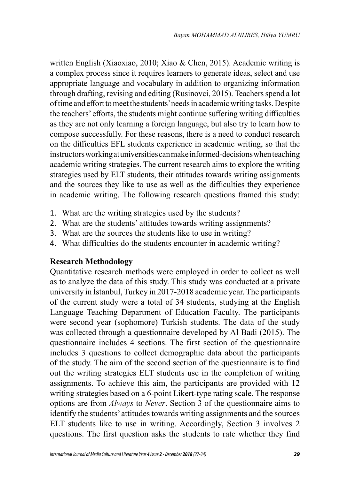written English (Xiaoxiao, 2010; Xiao & Chen, 2015). Academic writing is a complex process since it requires learners to generate ideas, select and use appropriate language and vocabulary in addition to organizing information through drafting, revising and editing (Rusinovci, 2015). Teachers spend a lot of time and effort to meet the students' needs in academic writing tasks. Despite the teachers' efforts, the students might continue suffering writing difficulties as they are not only learning a foreign language, but also try to learn how to compose successfully. For these reasons, there is a need to conduct research on the difficulties EFL students experience in academic writing, so that the instructors working at universities can make informed-decisions when teaching academic writing strategies. The current research aims to explore the writing strategies used by ELT students, their attitudes towards writing assignments and the sources they like to use as well as the difficulties they experience in academic writing. The following research questions framed this study:

- 1. What are the writing strategies used by the students?
- 2. What are the students' attitudes towards writing assignments?
- 3. What are the sources the students like to use in writing?
- 4. What difficulties do the students encounter in academic writing?

### **Research Methodology**

Quantitative research methods were employed in order to collect as well as to analyze the data of this study. This study was conducted at a private university in İstanbul, Turkey in 2017-2018 academic year. The participants of the current study were a total of 34 students, studying at the English Language Teaching Department of Education Faculty. The participants were second year (sophomore) Turkish students. The data of the study was collected through a questionnaire developed by Al Badi (2015). The questionnaire includes 4 sections. The first section of the questionnaire includes 3 questions to collect demographic data about the participants of the study. The aim of the second section of the questionnaire is to find out the writing strategies ELT students use in the completion of writing assignments. To achieve this aim, the participants are provided with 12 writing strategies based on a 6-point Likert-type rating scale. The response options are from *Always* to *Never*. Section 3 of the questionnaire aims to identify the students' attitudes towards writing assignments and the sources ELT students like to use in writing. Accordingly, Section 3 involves 2 questions. The first question asks the students to rate whether they find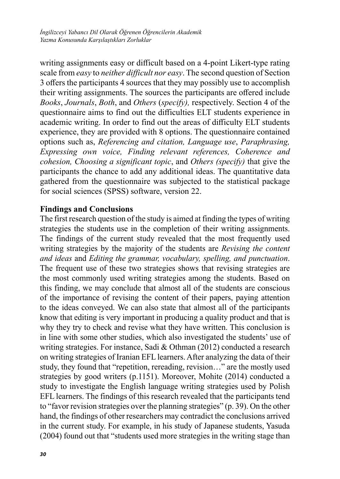writing assignments easy or difficult based on a 4-point Likert-type rating scale from *easy* to *neither difficult nor easy*. The second question of Section 3 offers the participants 4 sources that they may possibly use to accomplish their writing assignments. The sources the participants are offered include *Books*, *Journals*, *Both*, and *Others* (*specify),* respectively. Section 4 of the questionnaire aims to find out the difficulties ELT students experience in academic writing. In order to find out the areas of difficulty ELT students experience, they are provided with 8 options. The questionnaire contained options such as, *Referencing and citation, Language use*, *Paraphrasing, Expressing own voice, Finding relevant references, Coherence and cohesion, Choosing a significant topic*, and *Others (specify)* that give the participants the chance to add any additional ideas. The quantitative data gathered from the questionnaire was subjected to the statistical package for social sciences (SPSS) software, version 22.

### **Findings and Conclusions**

The first research question of the study is aimed at finding the types of writing strategies the students use in the completion of their writing assignments. The findings of the current study revealed that the most frequently used writing strategies by the majority of the students are *Revising the content and ideas* and *Editing the grammar, vocabulary, spelling, and punctuation*. The frequent use of these two strategies shows that revising strategies are the most commonly used writing strategies among the students. Based on this finding, we may conclude that almost all of the students are conscious of the importance of revising the content of their papers, paying attention to the ideas conveyed. We can also state that almost all of the participants know that editing is very important in producing a quality product and that is why they try to check and revise what they have written. This conclusion is in line with some other studies, which also investigated the students' use of writing strategies. For instance, Sadi & Othman (2012) conducted a research on writing strategies of Iranian EFL learners. After analyzing the data of their study, they found that "repetition, rereading, revision…" are the mostly used strategies by good writers (p.1151). Moreover, Mohite (2014) conducted a study to investigate the English language writing strategies used by Polish EFL learners. The findings of this research revealed that the participants tend to "favor revision strategies over the planning strategies" (p. 39). On the other hand, the findings of other researchers may contradict the conclusions arrived in the current study. For example, in his study of Japanese students, Yasuda (2004) found out that "students used more strategies in the writing stage than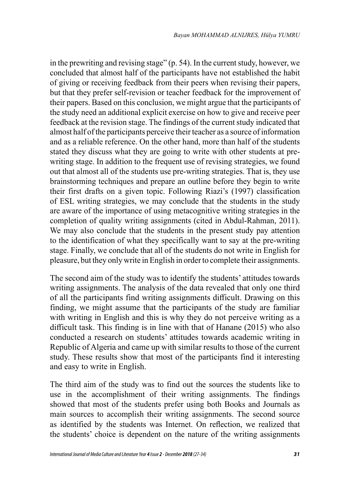in the prewriting and revising stage" (p. 54). In the current study, however, we concluded that almost half of the participants have not established the habit of giving or receiving feedback from their peers when revising their papers, but that they prefer self-revision or teacher feedback for the improvement of their papers. Based on this conclusion, we might argue that the participants of the study need an additional explicit exercise on how to give and receive peer feedback at the revision stage. The findings of the current study indicated that almost half of the participants perceive their teacher as a source of information and as a reliable reference. On the other hand, more than half of the students stated they discuss what they are going to write with other students at prewriting stage. In addition to the frequent use of revising strategies, we found out that almost all of the students use pre-writing strategies. That is, they use brainstorming techniques and prepare an outline before they begin to write their first drafts on a given topic. Following Riazi's (1997) classification of ESL writing strategies, we may conclude that the students in the study are aware of the importance of using metacognitive writing strategies in the completion of quality writing assignments (cited in Abdul-Rahman, 2011). We may also conclude that the students in the present study pay attention to the identification of what they specifically want to say at the pre-writing stage. Finally, we conclude that all of the students do not write in English for pleasure, but they only write in English in order to complete their assignments.

The second aim of the study was to identify the students' attitudes towards writing assignments. The analysis of the data revealed that only one third of all the participants find writing assignments difficult. Drawing on this finding, we might assume that the participants of the study are familiar with writing in English and this is why they do not perceive writing as a difficult task. This finding is in line with that of Hanane (2015) who also conducted a research on students' attitudes towards academic writing in Republic of Algeria and came up with similar results to those of the current study. These results show that most of the participants find it interesting and easy to write in English.

The third aim of the study was to find out the sources the students like to use in the accomplishment of their writing assignments. The findings showed that most of the students prefer using both Books and Journals as main sources to accomplish their writing assignments. The second source as identified by the students was Internet. On reflection, we realized that the students' choice is dependent on the nature of the writing assignments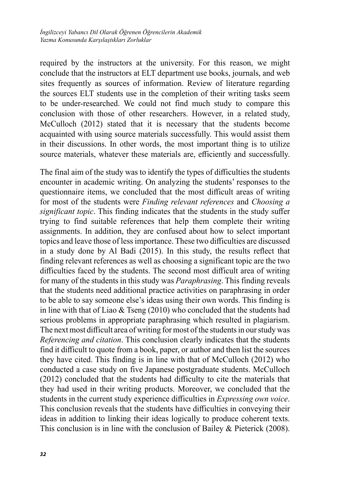required by the instructors at the university. For this reason, we might conclude that the instructors at ELT department use books, journals, and web sites frequently as sources of information. Review of literature regarding the sources ELT students use in the completion of their writing tasks seem to be under-researched. We could not find much study to compare this conclusion with those of other researchers. However, in a related study, McCulloch (2012) stated that it is necessary that the students become acquainted with using source materials successfully. This would assist them in their discussions. In other words, the most important thing is to utilize source materials, whatever these materials are, efficiently and successfully.

The final aim of the study was to identify the types of difficulties the students encounter in academic writing. On analyzing the students' responses to the questionnaire items, we concluded that the most difficult areas of writing for most of the students were *Finding relevant references* and *Choosing a significant topic*. This finding indicates that the students in the study suffer trying to find suitable references that help them complete their writing assignments. In addition, they are confused about how to select important topics and leave those of less importance. These two difficulties are discussed in a study done by Al Badi (2015). In this study, the results reflect that finding relevant references as well as choosing a significant topic are the two difficulties faced by the students. The second most difficult area of writing for many of the students in this study was *Paraphrasing*. This finding reveals that the students need additional practice activities on paraphrasing in order to be able to say someone else's ideas using their own words. This finding is in line with that of Liao & Tseng (2010) who concluded that the students had serious problems in appropriate paraphrasing which resulted in plagiarism. The next most difficult area of writing for most of the students in our study was *Referencing and citation*. This conclusion clearly indicates that the students find it difficult to quote from a book, paper, or author and then list the sources they have cited. This finding is in line with that of McCulloch (2012) who conducted a case study on five Japanese postgraduate students. McCulloch (2012) concluded that the students had difficulty to cite the materials that they had used in their writing products. Moreover, we concluded that the students in the current study experience difficulties in *Expressing own voice*. This conclusion reveals that the students have difficulties in conveying their ideas in addition to linking their ideas logically to produce coherent texts. This conclusion is in line with the conclusion of Bailey & Pieterick (2008).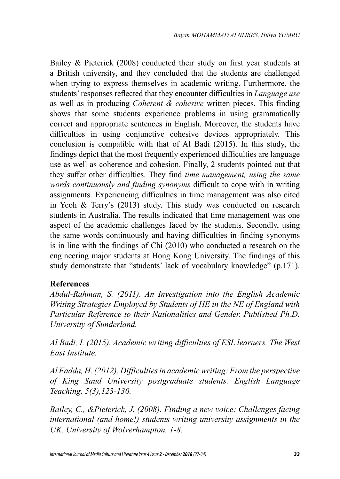Bailey & Pieterick (2008) conducted their study on first year students at a British university, and they concluded that the students are challenged when trying to express themselves in academic writing. Furthermore, the students' responses reflected that they encounter difficulties in *Language use* as well as in producing *Coherent & cohesive* written pieces. This finding shows that some students experience problems in using grammatically correct and appropriate sentences in English. Moreover, the students have difficulties in using conjunctive cohesive devices appropriately. This conclusion is compatible with that of Al Badi (2015). In this study, the findings depict that the most frequently experienced difficulties are language use as well as coherence and cohesion. Finally, 2 students pointed out that they suffer other difficulties. They find *time management, using the same words continuously and finding synonyms* difficult to cope with in writing assignments. Experiencing difficulties in time management was also cited in Yeoh & Terry's (2013) study. This study was conducted on research students in Australia. The results indicated that time management was one aspect of the academic challenges faced by the students. Secondly, using the same words continuously and having difficulties in finding synonyms is in line with the findings of Chi (2010) who conducted a research on the engineering major students at Hong Kong University. The findings of this study demonstrate that "students' lack of vocabulary knowledge" (p.171).

### **References**

*Abdul-Rahman, S. (2011). An Investigation into the English Academic Writing Strategies Employed by Students of HE in the NE of England with Particular Reference to their Nationalities and Gender. Published Ph.D. University of Sunderland.*

*Al Badi, I. (2015). Academic writing difficulties of ESL learners. The West East Institute.*

*Al Fadda, H. (2012). Difficulties in academic writing: From the perspective of King Saud University postgraduate students. English Language Teaching, 5(3),123-130.* 

*Bailey, C., &Pieterick, J. (2008). Finding a new voice: Challenges facing international (and home!) students writing university assignments in the UK. University of Wolverhampton, 1-8.*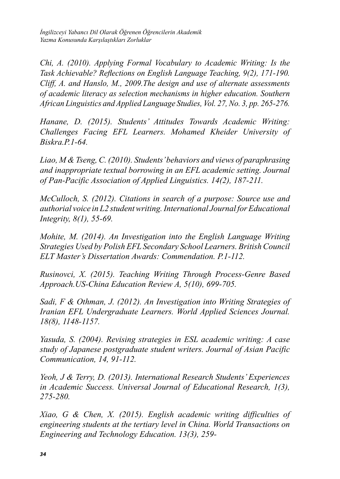*İngilizceyi Yabancı Dil Olarak Öğrenen Öğrencilerin Akademik Yazma Konusunda Karşılaştıkları Zorluklar* 

*Chi, A. (2010). Applying Formal Vocabulary to Academic Writing: Is the Task Achievable? Reflections on English Language Teaching, 9(2), 171-190. Cliff, A. and Hanslo, M., 2009.The design and use of alternate assessments of academic literacy as selection mechanisms in higher education. Southern African Linguistics and Applied Language Studies, Vol. 27, No. 3, pp. 265-276.* 

*Hanane, D. (2015). Students' Attitudes Towards Academic Writing: Challenges Facing EFL Learners. Mohamed Kheider University of Biskra.P.1-64.*

*Liao, M & Tseng, C. (2010). Students' behaviors and views of paraphrasing and inappropriate textual borrowing in an EFL academic setting. Journal of Pan-Pacific Association of Applied Linguistics. 14(2), 187-211.* 

*McCulloch, S. (2012). Citations in search of a purpose: Source use and authorial voice in L2 student writing. International Journal for Educational Integrity, 8(1), 55-69.*

*Mohite, M. (2014). An Investigation into the English Language Writing Strategies Used by Polish EFL Secondary School Learners. British Council ELT Master's Dissertation Awards: Commendation. P.1-112.*

*Rusinovci, X. (2015). Teaching Writing Through Process-Genre Based Approach.US-China Education Review A, 5(10), 699-705.*

*Sadi, F & Othman, J. (2012). An Investigation into Writing Strategies of Iranian EFL Undergraduate Learners. World Applied Sciences Journal. 18(8), 1148-1157.*

*Yasuda, S. (2004). Revising strategies in ESL academic writing: A case study of Japanese postgraduate student writers. Journal of Asian Pacific Communication, 14, 91-112.*

*Yeoh, J & Terry, D. (2013). International Research Students' Experiences in Academic Success. Universal Journal of Educational Research, 1(3), 275-280.* 

*Xiao, G & Chen, X. (2015). English academic writing difficulties of engineering students at the tertiary level in China. World Transactions on Engineering and Technology Education. 13(3), 259-*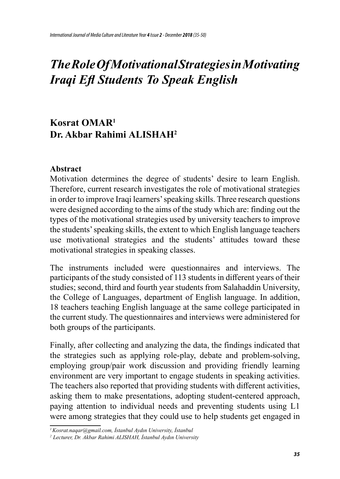# *The Role Of Motivational Strategies in Motivating Iraqi Efl Students To Speak English*

# **Kosrat OMAR<sup>1</sup> Dr. Akbar Rahimi ALISHAH<sup>2</sup>**

#### **Abstract**

Motivation determines the degree of students' desire to learn English. Therefore, current research investigates the role of motivational strategies in order to improve Iraqi learners' speaking skills. Three research questions were designed according to the aims of the study which are: finding out the types of the motivational strategies used by university teachers to improve the students' speaking skills, the extent to which English language teachers use motivational strategies and the students' attitudes toward these motivational strategies in speaking classes.

The instruments included were questionnaires and interviews. The participants of the study consisted of 113 students in different years of their studies; second, third and fourth year students from Salahaddin University, the College of Languages, department of English language. In addition, 18 teachers teaching English language at the same college participated in the current study. The questionnaires and interviews were administered for both groups of the participants.

Finally, after collecting and analyzing the data, the findings indicated that the strategies such as applying role-play, debate and problem-solving, employing group/pair work discussion and providing friendly learning environment are very important to engage students in speaking activities. The teachers also reported that providing students with different activities, asking them to make presentations, adopting student-centered approach, paying attention to individual needs and preventing students using L1 were among strategies that they could use to help students get engaged in

*<sup>1</sup>Kosrat.naqar@gmail.com, İstanbul Aydın University, İstanbul* 

*<sup>2</sup> Lecturer, Dr. Akbar Rahimi ALISHAH, İstanbul Aydın University*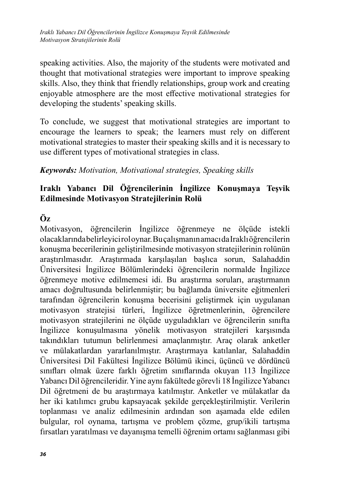*Iraklı Yabancı Dil Öğrencilerinin İngilizce Konuşmaya Teşvik Edilmesinde Motivasyon Stratejilerinin Rolü*

speaking activities. Also, the majority of the students were motivated and thought that motivational strategies were important to improve speaking skills. Also, they think that friendly relationships, group work and creating enjoyable atmosphere are the most effective motivational strategies for developing the students' speaking skills.

To conclude, we suggest that motivational strategies are important to encourage the learners to speak; the learners must rely on different motivational strategies to master their speaking skills and it is necessary to use different types of motivational strategies in class.

### *Keywords: Motivation, Motivational strategies, Speaking skills*

### **Iraklı Yabancı Dil Öğrencilerinin İngilizce Konuşmaya Teşvik Edilmesinde Motivasyon Stratejilerinin Rolü**

## **Öz**

Motivasyon, öğrencilerin İngilizce öğrenmeye ne ölçüde istekli olacaklarında belirleyici rol oynar. Bu çalışmanın amacı da Iraklı öğrencilerin konuşma becerilerinin geliştirilmesinde motivasyon stratejilerinin rolünün araştırılmasıdır. Araştırmada karşılaşılan başlıca sorun, Salahaddin Üniversitesi İngilizce Bölümlerindeki öğrencilerin normalde İngilizce öğrenmeye motive edilmemesi idi. Bu araştırma soruları, araştırmanın amacı doğrultusunda belirlenmiştir; bu bağlamda üniversite eğitmenleri tarafından öğrencilerin konuşma becerisini geliştirmek için uygulanan motivasyon stratejisi türleri, İngilizce öğretmenlerinin, öğrencilere motivasyon stratejilerini ne ölçüde uyguladıkları ve öğrencilerin sınıfta İngilizce konuşulmasına yönelik motivasyon stratejileri karşısında takındıkları tutumun belirlenmesi amaçlanmıştır. Araç olarak anketler ve mülakatlardan yararlanılmıştır. Araştırmaya katılanlar, Salahaddin Üniversitesi Dil Fakültesi İngilizce Bölümü ikinci, üçüncü ve dördüncü sınıfları olmak üzere farklı öğretim sınıflarında okuyan 113 İngilizce Yabancı Dil öğrencileridir. Yine aynı fakültede görevli 18 İngilizce Yabancı Dil öğretmeni de bu araştırmaya katılmıştır. Anketler ve mülakatlar da her iki katılımcı grubu kapsayacak şekilde gerçekleştirilmiştir. Verilerin toplanması ve analiz edilmesinin ardından son aşamada elde edilen bulgular, rol oynama, tartışma ve problem çözme, grup/ikili tartışma fırsatları yaratılması ve dayanışma temelli öğrenim ortamı sağlanması gibi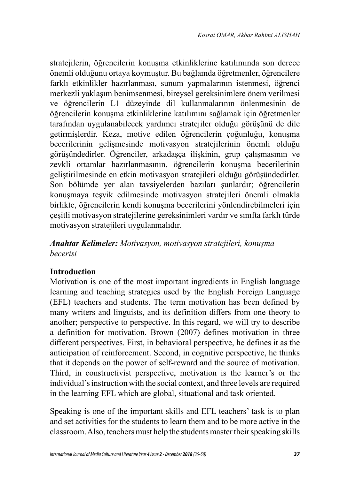stratejilerin, öğrencilerin konuşma etkinliklerine katılımında son derece önemli olduğunu ortaya koymuştur. Bu bağlamda öğretmenler, öğrencilere farklı etkinlikler hazırlanması, sunum yapmalarının istenmesi, öğrenci merkezli yaklaşım benimsenmesi, bireysel gereksinimlere önem verilmesi ve öğrencilerin L1 düzeyinde dil kullanmalarının önlenmesinin de öğrencilerin konuşma etkinliklerine katılımını sağlamak için öğretmenler tarafından uygulanabilecek yardımcı stratejiler olduğu görüşünü de dile getirmişlerdir. Keza, motive edilen öğrencilerin çoğunluğu, konuşma becerilerinin gelişmesinde motivasyon stratejilerinin önemli olduğu görüşündedirler. Öğrenciler, arkadaşça ilişkinin, grup çalışmasının ve zevkli ortamlar hazırlanmasının, öğrencilerin konuşma becerilerinin geliştirilmesinde en etkin motivasyon stratejileri olduğu görüşündedirler. Son bölümde yer alan tavsiyelerden bazıları şunlardır; öğrencilerin konuşmaya teşvik edilmesinde motivasyon stratejileri önemli olmakla birlikte, öğrencilerin kendi konuşma becerilerini yönlendirebilmeleri için çeşitli motivasyon stratejilerine gereksinimleri vardır ve sınıfta farklı türde motivasyon stratejileri uygulanmalıdır.

*Anahtar Kelimeler: Motivasyon, motivasyon stratejileri, konuşma becerisi*

### **Introduction**

Motivation is one of the most important ingredients in English language learning and teaching strategies used by the English Foreign Language (EFL) teachers and students. The term motivation has been defined by many writers and linguists, and its definition differs from one theory to another; perspective to perspective. In this regard, we will try to describe a definition for motivation. Brown (2007) defines motivation in three different perspectives. First, in behavioral perspective, he defines it as the anticipation of reinforcement. Second, in cognitive perspective, he thinks that it depends on the power of self-reward and the source of motivation. Third, in constructivist perspective, motivation is the learner's or the individual's instruction with the social context, and three levels are required in the learning EFL which are global, situational and task oriented.

Speaking is one of the important skills and EFL teachers' task is to plan and set activities for the students to learn them and to be more active in the classroom. Also, teachers must help the students master their speaking skills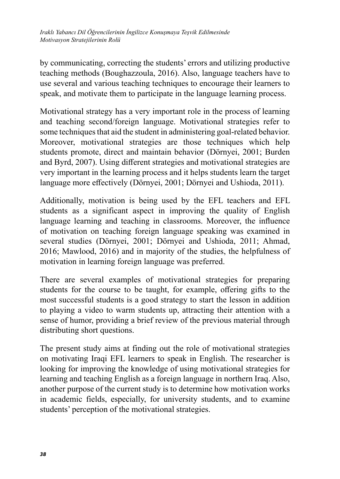by communicating, correcting the students' errors and utilizing productive teaching methods (Boughazzoula, 2016). Also, language teachers have to use several and various teaching techniques to encourage their learners to speak, and motivate them to participate in the language learning process.

Motivational strategy has a very important role in the process of learning and teaching second/foreign language. Motivational strategies refer to some techniques that aid the student in administering goal-related behavior. Moreover, motivational strategies are those techniques which help students promote, direct and maintain behavior (Dörnyei, 2001; Burden and Byrd, 2007). Using different strategies and motivational strategies are very important in the learning process and it helps students learn the target language more effectively (Dörnyei, 2001; Dörnyei and Ushioda, 2011).

Additionally, motivation is being used by the EFL teachers and EFL students as a significant aspect in improving the quality of English language learning and teaching in classrooms. Moreover, the influence of motivation on teaching foreign language speaking was examined in several studies (Dörnyei, 2001; Dörnyei and Ushioda, 2011; Ahmad, 2016; Mawlood, 2016) and in majority of the studies, the helpfulness of motivation in learning foreign language was preferred.

There are several examples of motivational strategies for preparing students for the course to be taught, for example, offering gifts to the most successful students is a good strategy to start the lesson in addition to playing a video to warm students up, attracting their attention with a sense of humor, providing a brief review of the previous material through distributing short questions.

The present study aims at finding out the role of motivational strategies on motivating Iraqi EFL learners to speak in English. The researcher is looking for improving the knowledge of using motivational strategies for learning and teaching English as a foreign language in northern Iraq. Also, another purpose of the current study is to determine how motivation works in academic fields, especially, for university students, and to examine students' perception of the motivational strategies.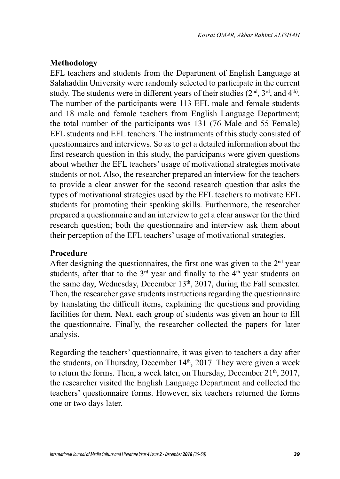### **Methodology**

EFL teachers and students from the Department of English Language at Salahaddin University were randomly selected to participate in the current study. The students were in different years of their studies  $(2<sup>nd</sup>, 3<sup>rd</sup>, and 4<sup>th</sup>)$ . The number of the participants were 113 EFL male and female students and 18 male and female teachers from English Language Department; the total number of the participants was 131 (76 Male and 55 Female) EFL students and EFL teachers. The instruments of this study consisted of questionnaires and interviews. So as to get a detailed information about the first research question in this study, the participants were given questions about whether the EFL teachers' usage of motivational strategies motivate students or not. Also, the researcher prepared an interview for the teachers to provide a clear answer for the second research question that asks the types of motivational strategies used by the EFL teachers to motivate EFL students for promoting their speaking skills. Furthermore, the researcher prepared a questionnaire and an interview to get a clear answer for the third research question; both the questionnaire and interview ask them about their perception of the EFL teachers' usage of motivational strategies.

#### **Procedure**

After designing the questionnaires, the first one was given to the  $2<sup>nd</sup>$  year students, after that to the  $3<sup>rd</sup>$  year and finally to the  $4<sup>th</sup>$  year students on the same day, Wednesday, December 13<sup>th</sup>, 2017, during the Fall semester. Then, the researcher gave students instructions regarding the questionnaire by translating the difficult items, explaining the questions and providing facilities for them. Next, each group of students was given an hour to fill the questionnaire. Finally, the researcher collected the papers for later analysis.

Regarding the teachers' questionnaire, it was given to teachers a day after the students, on Thursday, December  $14<sup>th</sup>$ , 2017. They were given a week to return the forms. Then, a week later, on Thursday, December  $21<sup>th</sup>$ ,  $2017$ , the researcher visited the English Language Department and collected the teachers' questionnaire forms. However, six teachers returned the forms one or two days later.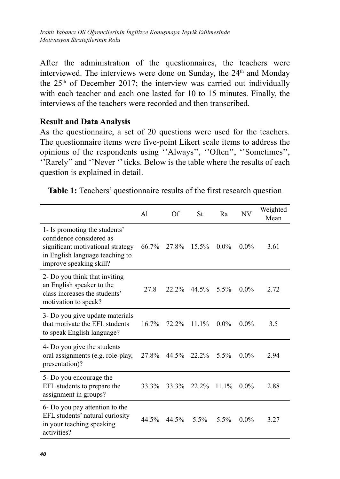After the administration of the questionnaires, the teachers were interviewed. The interviews were done on Sunday, the 24<sup>th</sup> and Monday the  $25<sup>th</sup>$  of December 2017; the interview was carried out individually with each teacher and each one lasted for 10 to 15 minutes. Finally, the interviews of the teachers were recorded and then transcribed.

#### **Result and Data Analysis**

As the questionnaire, a set of 20 questions were used for the teachers. The questionnaire items were five-point Likert scale items to address the opinions of the respondents using ''Always'', ''Often'', ''Sometimes'', ''Rarely'' and ''Never '' ticks. Below is the table where the results of each question is explained in detail.

| Table 1: Teachers' questionnaire results of the first research question |  |  |  |  |
|-------------------------------------------------------------------------|--|--|--|--|
|-------------------------------------------------------------------------|--|--|--|--|

|                                                                                                                                                              | A1    | Of    | <b>St</b> | R <sub>a</sub> | NV      | Weighted<br>Mean |
|--------------------------------------------------------------------------------------------------------------------------------------------------------------|-------|-------|-----------|----------------|---------|------------------|
| 1- Is promoting the students'<br>confidence considered as<br>significant motivational strategy<br>in English language teaching to<br>improve speaking skill? | 66.7% | 27.8% | $15.5\%$  | $0.0\%$        | $0.0\%$ | 3.61             |
| 2- Do you think that inviting<br>an English speaker to the<br>class increases the students'<br>motivation to speak?                                          | 27.8  | 22.2% | 44.5%     | $5.5\%$        | $0.0\%$ | 2.72             |
| 3- Do you give update materials<br>that motivate the EFL students<br>to speak English language?                                                              | 16.7% | 72.2% | $11.1\%$  | $0.0\%$        | $0.0\%$ | 3.5              |
| 4- Do you give the students<br>oral assignments (e.g. role-play,<br>presentation)?                                                                           | 27.8% | 44.5% | 22.2%     | $5.5\%$        | $0.0\%$ | 2.94             |
| 5- Do you encourage the<br>EFL students to prepare the<br>assignment in groups?                                                                              | 33.3% | 33.3% | $22.2\%$  | $11.1\%$       | $0.0\%$ | 2.88             |
| 6- Do you pay attention to the<br>EFL students' natural curiosity<br>in your teaching speaking<br>activities?                                                | 44.5% | 44.5% | $5.5\%$   | 5.5%           | $0.0\%$ | 3.27             |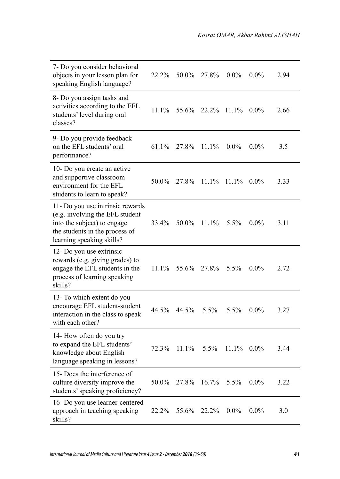$\overline{\phantom{a}}$ 

| 7- Do you consider behavioral<br>objects in your lesson plan for<br>speaking English language?                                                                    | 22.2%    | 50.0% | 27.8% | $0.0\%$  | $0.0\%$ | 2.94 |
|-------------------------------------------------------------------------------------------------------------------------------------------------------------------|----------|-------|-------|----------|---------|------|
| 8- Do you assign tasks and<br>activities according to the EFL<br>students' level during oral<br>classes?                                                          | 11.1%    | 55.6% | 22.2% | $11.1\%$ | $0.0\%$ | 2.66 |
| 9- Do you provide feedback<br>on the EFL students' oral<br>performance?                                                                                           | 61.1%    | 27.8% | 11.1% | $0.0\%$  | $0.0\%$ | 3.5  |
| 10- Do you create an active<br>and supportive classroom<br>environment for the EFL<br>students to learn to speak?                                                 | 50.0%    | 27.8% | 11.1% | 11.1%    | $0.0\%$ | 3.33 |
| 11- Do you use intrinsic rewards<br>(e.g. involving the EFL student<br>into the subject) to engage<br>the students in the process of<br>learning speaking skills? | 33.4%    | 50.0% | 11.1% | 5.5%     | $0.0\%$ | 3.11 |
| 12- Do you use extrinsic<br>rewards (e.g. giving grades) to<br>engage the EFL students in the<br>process of learning speaking<br>skills?                          | $11.1\%$ | 55.6% | 27.8% | 5.5%     | $0.0\%$ | 2.72 |
| 13- To which extent do you<br>encourage EFL student-student<br>interaction in the class to speak<br>with each other?                                              | 44.5%    | 44.5% | 5.5%  | 5.5%     | $0.0\%$ | 3.27 |
| 14- How often do you try<br>to expand the EFL students'<br>knowledge about English<br>language speaking in lessons?                                               | 72.3%    | 11.1% | 5.5%  | $11.1\%$ | $0.0\%$ | 3.44 |
| 15- Does the interference of<br>culture diversity improve the<br>students' speaking proficiency?                                                                  | 50.0%    | 27.8% | 16.7% | 5.5%     | $0.0\%$ | 3.22 |
| 16- Do you use learner-centered<br>approach in teaching speaking<br>skills?                                                                                       | 22.2%    | 55.6% | 22.2% | $0.0\%$  | $0.0\%$ | 3.0  |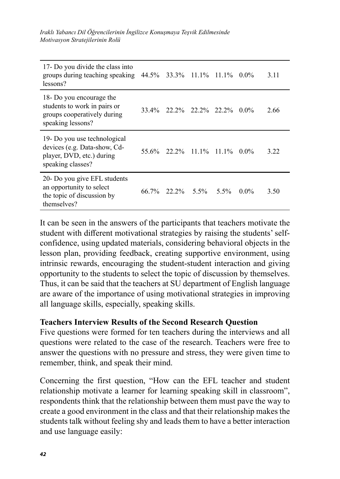*Iraklı Yabancı Dil Öğrencilerinin İngilizce Konuşmaya Teşvik Edilmesinde Motivasyon Stratejilerinin Rolü*

| 17- Do you divide the class into<br>groups during teaching speaking $44.5\%$ 33.3% 11.1% 11.1%<br>lessons?     |       |                             |  | $0.0\%$ | 3.11 |
|----------------------------------------------------------------------------------------------------------------|-------|-----------------------------|--|---------|------|
| 18 Do you encourage the<br>students to work in pairs or<br>groups cooperatively during<br>speaking lessons?    |       | 33.4% 22.2% 22.2% 22.2%     |  | $0.0\%$ | 2.66 |
| 19- Do you use technological<br>devices (e.g. Data-show, Cd-<br>player, DVD, etc.) during<br>speaking classes? |       | 55.6\% 22.2\% 11.1\% 11.1\% |  | $0.0\%$ | 3.22 |
| 20- Do you give EFL students<br>an opportunity to select<br>the topic of discussion by<br>themselves?          | 66.7% | 22.2% 5.5% 5.5%             |  | $0.0\%$ | 3.50 |

It can be seen in the answers of the participants that teachers motivate the student with different motivational strategies by raising the students' selfconfidence, using updated materials, considering behavioral objects in the lesson plan, providing feedback, creating supportive environment, using intrinsic rewards, encouraging the student-student interaction and giving opportunity to the students to select the topic of discussion by themselves. Thus, it can be said that the teachers at SU department of English language are aware of the importance of using motivational strategies in improving all language skills, especially, speaking skills.

#### **Teachers Interview Results of the Second Research Question**

Five questions were formed for ten teachers during the interviews and all questions were related to the case of the research. Teachers were free to answer the questions with no pressure and stress, they were given time to remember, think, and speak their mind.

Concerning the first question, "How can the EFL teacher and student relationship motivate a learner for learning speaking skill in classroom", respondents think that the relationship between them must pave the way to create a good environment in the class and that their relationship makes the students talk without feeling shy and leads them to have a better interaction and use language easily: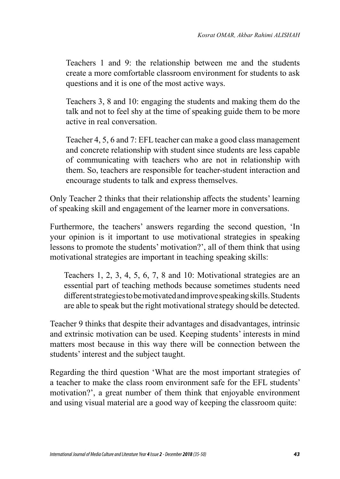Teachers 1 and 9: the relationship between me and the students create a more comfortable classroom environment for students to ask questions and it is one of the most active ways.

Teachers 3, 8 and 10: engaging the students and making them do the talk and not to feel shy at the time of speaking guide them to be more active in real conversation.

Teacher 4, 5, 6 and 7: EFL teacher can make a good class management and concrete relationship with student since students are less capable of communicating with teachers who are not in relationship with them. So, teachers are responsible for teacher-student interaction and encourage students to talk and express themselves.

Only Teacher 2 thinks that their relationship affects the students' learning of speaking skill and engagement of the learner more in conversations.

Furthermore, the teachers' answers regarding the second question, 'In your opinion is it important to use motivational strategies in speaking lessons to promote the students' motivation?', all of them think that using motivational strategies are important in teaching speaking skills:

Teachers 1, 2, 3, 4, 5, 6, 7, 8 and 10: Motivational strategies are an essential part of teaching methods because sometimes students need different strategies to be motivated and improve speaking skills. Students are able to speak but the right motivational strategy should be detected.

Teacher 9 thinks that despite their advantages and disadvantages, intrinsic and extrinsic motivation can be used. Keeping students' interests in mind matters most because in this way there will be connection between the students' interest and the subject taught.

Regarding the third question 'What are the most important strategies of a teacher to make the class room environment safe for the EFL students' motivation?', a great number of them think that enjoyable environment and using visual material are a good way of keeping the classroom quite: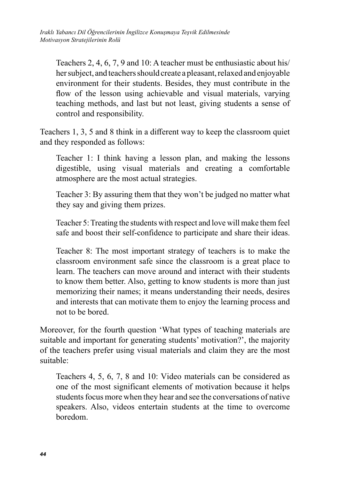Teachers 2, 4, 6, 7, 9 and 10: A teacher must be enthusiastic about his/ her subject, and teachers should create a pleasant, relaxed and enjoyable environment for their students. Besides, they must contribute in the flow of the lesson using achievable and visual materials, varying teaching methods, and last but not least, giving students a sense of control and responsibility.

Teachers 1, 3, 5 and 8 think in a different way to keep the classroom quiet and they responded as follows:

Teacher 1: I think having a lesson plan, and making the lessons digestible, using visual materials and creating a comfortable atmosphere are the most actual strategies.

Teacher 3: By assuring them that they won't be judged no matter what they say and giving them prizes.

Teacher 5: Treating the students with respect and love will make them feel safe and boost their self-confidence to participate and share their ideas.

Teacher 8: The most important strategy of teachers is to make the classroom environment safe since the classroom is a great place to learn. The teachers can move around and interact with their students to know them better. Also, getting to know students is more than just memorizing their names; it means understanding their needs, desires and interests that can motivate them to enjoy the learning process and not to be bored.

Moreover, for the fourth question 'What types of teaching materials are suitable and important for generating students' motivation?', the majority of the teachers prefer using visual materials and claim they are the most suitable:

Teachers 4, 5, 6, 7, 8 and 10: Video materials can be considered as one of the most significant elements of motivation because it helps students focus more when they hear and see the conversations of native speakers. Also, videos entertain students at the time to overcome boredom.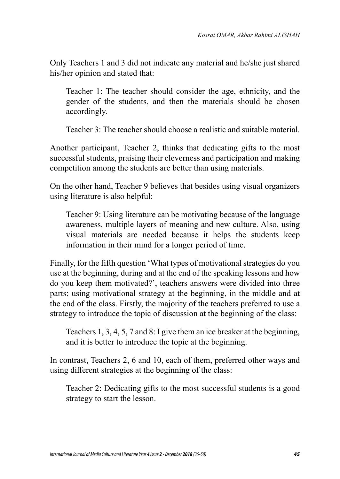Only Teachers 1 and 3 did not indicate any material and he/she just shared his/her opinion and stated that:

Teacher 1: The teacher should consider the age, ethnicity, and the gender of the students, and then the materials should be chosen accordingly.

Teacher 3: The teacher should choose a realistic and suitable material.

Another participant, Teacher 2, thinks that dedicating gifts to the most successful students, praising their cleverness and participation and making competition among the students are better than using materials.

On the other hand, Teacher 9 believes that besides using visual organizers using literature is also helpful:

Teacher 9: Using literature can be motivating because of the language awareness, multiple layers of meaning and new culture. Also, using visual materials are needed because it helps the students keep information in their mind for a longer period of time.

Finally, for the fifth question 'What types of motivational strategies do you use at the beginning, during and at the end of the speaking lessons and how do you keep them motivated?', teachers answers were divided into three parts; using motivational strategy at the beginning, in the middle and at the end of the class. Firstly, the majority of the teachers preferred to use a strategy to introduce the topic of discussion at the beginning of the class:

Teachers 1, 3, 4, 5, 7 and 8: I give them an ice breaker at the beginning, and it is better to introduce the topic at the beginning.

In contrast, Teachers 2, 6 and 10, each of them, preferred other ways and using different strategies at the beginning of the class:

Teacher 2: Dedicating gifts to the most successful students is a good strategy to start the lesson.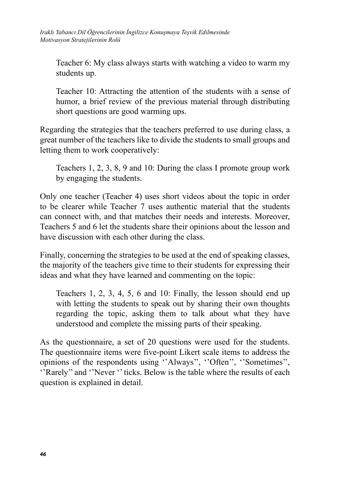Teacher 6: My class always starts with watching a video to warm my students up.

Teacher 10: Attracting the attention of the students with a sense of humor, a brief review of the previous material through distributing short questions are good warming ups.

Regarding the strategies that the teachers preferred to use during class, a great number of the teachers like to divide the students to small groups and letting them to work cooperatively:

Teachers 1, 2, 3, 8, 9 and 10: During the class I promote group work by engaging the students.

Only one teacher (Teacher 4) uses short videos about the topic in order to be clearer while Teacher 7 uses authentic material that the students can connect with, and that matches their needs and interests. Moreover, Teachers 5 and 6 let the students share their opinions about the lesson and have discussion with each other during the class.

Finally, concerning the strategies to be used at the end of speaking classes, the majority of the teachers give time to their students for expressing their ideas and what they have learned and commenting on the topic:

Teachers 1, 2, 3, 4, 5, 6 and 10: Finally, the lesson should end up with letting the students to speak out by sharing their own thoughts regarding the topic, asking them to talk about what they have understood and complete the missing parts of their speaking.

As the questionnaire, a set of 20 questions were used for the students. The questionnaire items were five-point Likert scale items to address the opinions of the respondents using ''Always'', ''Often'', ''Sometimes'', ''Rarely'' and ''Never '' ticks. Below is the table where the results of each question is explained in detail.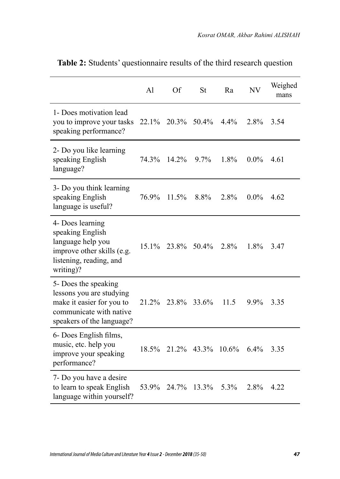|                                                                                                                                       | A <sub>1</sub> | Of    | St      | Ra      | <b>NV</b> | Weighed<br>mans |
|---------------------------------------------------------------------------------------------------------------------------------------|----------------|-------|---------|---------|-----------|-----------------|
| 1- Does motivation lead<br>you to improve your tasks<br>speaking performance?                                                         | 22.1%          | 20.3% | 50.4%   | $4.4\%$ | 2.8%      | 3.54            |
| 2- Do you like learning<br>speaking English<br>language?                                                                              | 74.3%          | 14.2% | $9.7\%$ | 1.8%    | $0.0\%$   | 4.61            |
| 3- Do you think learning<br>speaking English<br>language is useful?                                                                   | 76.9%          | 11.5% | 8.8%    | 2.8%    | $0.0\%$   | 4.62            |
| 4- Does learning<br>speaking English<br>language help you<br>improve other skills (e.g.<br>listening, reading, and<br>writing)?       | $15.1\%$       | 23.8% | 50.4%   | 2.8%    | 1.8%      | 3.47            |
| 5- Does the speaking<br>lessons you are studying<br>make it easier for you to<br>communicate with native<br>speakers of the language? | 21.2%          | 23.8% | 33.6%   | 11.5    | 9.9%      | 3.35            |
| 6- Does English films,<br>music, etc. help you<br>improve your speaking<br>performance?                                               | 18.5%          | 21.2% | 43.3%   | 10.6%   | $6.4\%$   | 3.35            |
| 7- Do you have a desire<br>to learn to speak English<br>language within yourself?                                                     | 53.9%          | 24.7% | 13.3%   | 5.3%    | 2.8%      | 4.22            |

**Table 2:** Students' questionnaire results of the third research question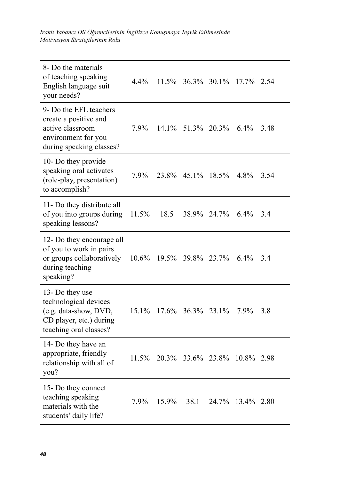*Iraklı Yabancı Dil Öğrencilerinin İngilizce Konuşmaya Teşvik Edilmesinde Motivasyon Stratejilerinin Rolü*

| 8- Do the materials<br>of teaching speaking<br>English language suit<br>your needs?                                    | 4.4%  | 11.5%    | 36.3% | 30.1% | $17.7\%$   | 2.54 |
|------------------------------------------------------------------------------------------------------------------------|-------|----------|-------|-------|------------|------|
| 9- Do the EFL teachers<br>create a positive and<br>active classroom<br>environment for you<br>during speaking classes? | 7.9%  | $14.1\%$ | 51.3% | 20.3% | $6.4\%$    | 3.48 |
| 10- Do they provide<br>speaking oral activates<br>(role-play, presentation)<br>to accomplish?                          | 7.9%  | 23.8%    | 45.1% | 18.5% | 4.8%       | 3.54 |
| 11- Do they distribute all<br>of you into groups during<br>speaking lessons?                                           | 11.5% | 18.5     | 38.9% | 24.7% | $6.4\%$    | 3.4  |
| 12- Do they encourage all<br>of you to work in pairs<br>or groups collaboratively<br>during teaching<br>speaking?      | 10.6% | 19.5%    | 39.8% | 23.7% | 6.4%       | 3.4  |
| 13- Do they use<br>technological devices<br>(e.g. data-show, DVD,<br>CD player, etc.) during<br>teaching oral classes? | 15.1% | 17.6%    | 36.3% | 23.1% | 7.9%       | 3.8  |
| 14- Do they have an<br>appropriate, friendly<br>relationship with all of<br>you?                                       | 11.5% | 20.3%    | 33.6% | 23.8% | 10.8% 2.98 |      |
| 15- Do they connect<br>teaching speaking<br>materials with the<br>students' daily life?                                | 7.9%  | 15.9%    | 38.1  | 24.7% | 13.4%      | 2.80 |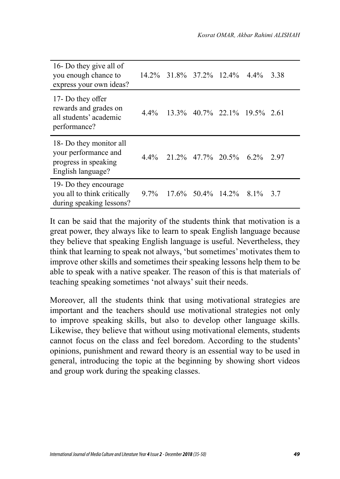| 16- Do they give all of<br>you enough chance to<br>express your own ideas?                   |         | 14.2% 31.8% 37.2% 12.4%   |                              | $4.4\%$ | 3.38 |
|----------------------------------------------------------------------------------------------|---------|---------------------------|------------------------------|---------|------|
| 17- Do they offer<br>rewards and grades on<br>all students' academic<br>performance?         | $4.4\%$ |                           | 13.3% 40.7% 22.1% 19.5% 2.61 |         |      |
| 18- Do they monitor all<br>your performance and<br>progress in speaking<br>English language? | 4.4%    | 21.2\% 47.7\% 20.5\%      |                              | $6.2\%$ | 2.97 |
| 19- Do they encourage<br>you all to think critically<br>during speaking lessons?             |         | $9.7\%$ 17.6% 50.4% 14.2% |                              | 8.1%    | 3.7  |

It can be said that the majority of the students think that motivation is a great power, they always like to learn to speak English language because they believe that speaking English language is useful. Nevertheless, they think that learning to speak not always, 'but sometimes' motivates them to improve other skills and sometimes their speaking lessons help them to be able to speak with a native speaker. The reason of this is that materials of teaching speaking sometimes 'not always' suit their needs.

Moreover, all the students think that using motivational strategies are important and the teachers should use motivational strategies not only to improve speaking skills, but also to develop other language skills. Likewise, they believe that without using motivational elements, students cannot focus on the class and feel boredom. According to the students' opinions, punishment and reward theory is an essential way to be used in general, introducing the topic at the beginning by showing short videos and group work during the speaking classes.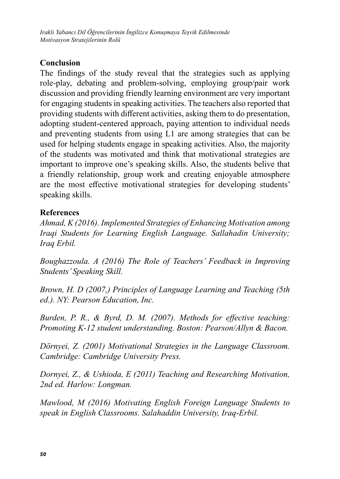*Iraklı Yabancı Dil Öğrencilerinin İngilizce Konuşmaya Teşvik Edilmesinde Motivasyon Stratejilerinin Rolü*

### **Conclusion**

The findings of the study reveal that the strategies such as applying role-play, debating and problem-solving, employing group/pair work discussion and providing friendly learning environment are very important for engaging students in speaking activities. The teachers also reported that providing students with different activities, asking them to do presentation, adopting student-centered approach, paying attention to individual needs and preventing students from using L1 are among strategies that can be used for helping students engage in speaking activities. Also, the majority of the students was motivated and think that motivational strategies are important to improve one's speaking skills. Also, the students belive that a friendly relationship, group work and creating enjoyable atmosphere are the most effective motivational strategies for developing students' speaking skills.

## **References**

*Ahmad, K (2016). Implemented Strategies of Enhancing Motivation among Iraqi Students for Learning English Language. Sallahadin University; Iraq Erbil.*

*Boughazzoula. A (2016) The Role of Teachers' Feedback in Improving Students' Speaking Skill.*

*Brown, H. D (2007,) Principles of Language Learning and Teaching (5th ed.). NY: Pearson Education, Inc.*

*Burden, P. R., & Byrd, D. M. (2007). Methods for effective teaching: Promoting K-12 student understanding. Boston: Pearson/Allyn & Bacon.*

*Dörnyei, Z. (2001) Motivational Strategies in the Language Classroom. Cambridge: Cambridge University Press.*

*Dornyei, Z., & Ushioda, E (2011) Teaching and Researching Motivation, 2nd ed. Harlow: Longman.*

*Mawlood, M (2016) Motivating English Foreign Language Students to speak in English Classrooms. Salahaddin University, Iraq-Erbil.*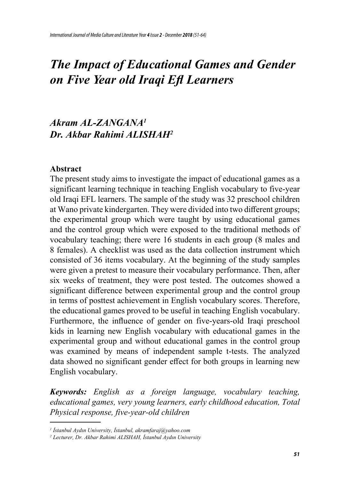# *The Impact of Educational Games and Gender on Five Year old Iraqi Efl Learners*

## *Akram AL-ZANGANA<sup>1</sup> Dr. Akbar Rahimi ALISHAH<sup>2</sup>*

#### **Abstract**

The present study aims to investigate the impact of educational games as a significant learning technique in teaching English vocabulary to five-year old Iraqi EFL learners. The sample of the study was 32 preschool children at Wano private kindergarten. They were divided into two different groups; the experimental group which were taught by using educational games and the control group which were exposed to the traditional methods of vocabulary teaching; there were 16 students in each group (8 males and 8 females). A checklist was used as the data collection instrument which consisted of 36 items vocabulary. At the beginning of the study samples were given a pretest to measure their vocabulary performance. Then, after six weeks of treatment, they were post tested. The outcomes showed a significant difference between experimental group and the control group in terms of posttest achievement in English vocabulary scores. Therefore, the educational games proved to be useful in teaching English vocabulary. Furthermore, the influence of gender on five-years-old Iraqi preschool kids in learning new English vocabulary with educational games in the experimental group and without educational games in the control group was examined by means of independent sample t-tests. The analyzed data showed no significant gender effect for both groups in learning new English vocabulary.

*Keywords: English as a foreign language, vocabulary teaching, educational games, very young learners, early childhood education, Total Physical response, five-year-old children*

*<sup>1</sup> İstanbul Aydın University, İstanbul, akramfaraj@yahoo.com*

*<sup>2</sup> Lecturer, Dr. Akbar Rahimi ALISHAH, İstanbul Aydın University*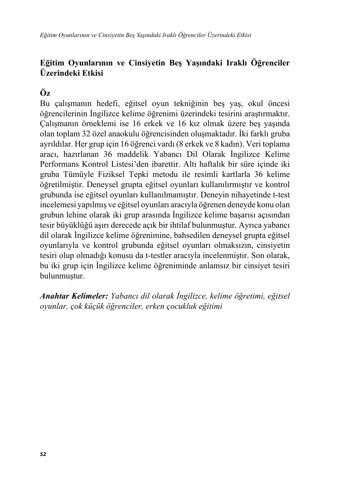## **Eğitim Oyunlarının ve Cinsiyetin Beş Yaşındaki Iraklı Öğrenciler Üzerindeki Etkisi**

## **Öz**

Bu çalışmanın hedefi, eğitsel oyun tekniğinin beş yaş, okul öncesi öğrencilerinin İngilizce kelime öğrenimi üzerindeki tesirini araştırmaktır. Çalışmanın örneklemi ise 16 erkek ve 16 kız olmak üzere beş yaşında olan toplam 32 özel anaokulu öğrencisinden oluşmaktadır. İki farklı gruba ayrıldılar. Her grup için 16 öğrenci vardı (8 erkek ve 8 kadın). Veri toplama aracı, hazırlanan 36 maddelik Yabancı Dil Olarak İngilizce Kelime Performans Kontrol Listesi'den ibarettir. Altı haftalık bir süre içinde iki gruba Tümüyle Fiziksel Tepki metodu ile resimli kartlarla 36 kelime öğretilmiştir. Deneysel grupta eğitsel oyunları kullanılırmıştır ve kontrol grubunda ise eğitsel oyunları kullanılmamıştır. Deneyin nihayetinde t-test incelemesi yapılmış ve eğitsel oyunları aracıyla öğrenen deneyde konu olan grubun lehine olarak iki grup arasında İngilizce kelime başarısı açısından tesir büyüklüğü aşırı derecede açık bir ihtilaf bulunmuştur. Ayrıca yabancı dil olarak İngilizce kelime öğrenimine, bahsedilen deneysel grupta eğitsel oyunlarıyla ve kontrol grubunda eğitsel oyunları olmaksızın, cinsiyetin tesiri olup olmadığı konusu da t-testler aracıyla incelenmiştir. Son olarak, bu iki grup için İngilizce kelime öğreniminde anlamsız bir cinsiyet tesiri bulunmuştur.

*Anahtar Kelimeler: Yabancı dil olarak İngilizce, kelime öğretimi, eğitsel oyunlar, çok küçük öğrenciler, erken çocukluk eğitimi*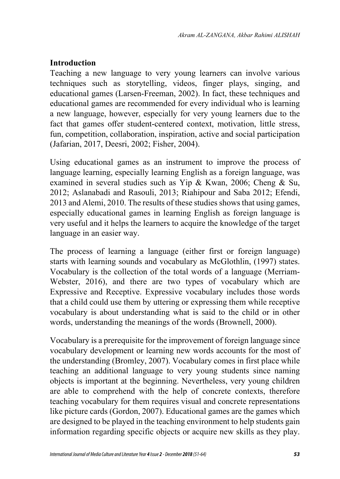#### **Introduction**

Teaching a new language to very young learners can involve various techniques such as storytelling, videos, finger plays, singing, and educational games (Larsen-Freeman, 2002). In fact, these techniques and educational games are recommended for every individual who is learning a new language, however, especially for very young learners due to the fact that games offer student-centered context, motivation, little stress, fun, competition, collaboration, inspiration, active and social participation (Jafarian, 2017, Deesri, 2002; Fisher, 2004).

Using educational games as an instrument to improve the process of language learning, especially learning English as a foreign language, was examined in several studies such as Yip & Kwan, 2006; Cheng & Su, 2012; Aslanabadi and Rasouli, 2013; Riahipour and Saba 2012; Efendi, 2013 and Alemi, 2010. The results of these studies shows that using games, especially educational games in learning English as foreign language is very useful and it helps the learners to acquire the knowledge of the target language in an easier way.

The process of learning a language (either first or foreign language) starts with learning sounds and vocabulary as McGlothlin, (1997) states. Vocabulary is the collection of the total words of a language (Merriam-Webster, 2016), and there are two types of vocabulary which are Expressive and Receptive. Expressive vocabulary includes those words that a child could use them by uttering or expressing them while receptive vocabulary is about understanding what is said to the child or in other words, understanding the meanings of the words (Brownell, 2000).

Vocabulary is a prerequisite for the improvement of foreign language since vocabulary development or learning new words accounts for the most of the understanding (Bromley, 2007). Vocabulary comes in first place while teaching an additional language to very young students since naming objects is important at the beginning. Nevertheless, very young children are able to comprehend with the help of concrete contexts, therefore teaching vocabulary for them requires visual and concrete representations like picture cards (Gordon, 2007). Educational games are the games which are designed to be played in the teaching environment to help students gain information regarding specific objects or acquire new skills as they play.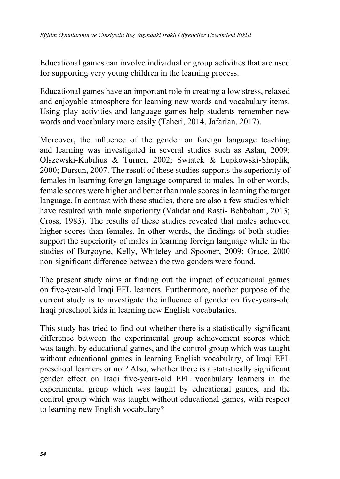Educational games can involve individual or group activities that are used for supporting very young children in the learning process.

Educational games have an important role in creating a low stress, relaxed and enjoyable atmosphere for learning new words and vocabulary items. Using play activities and language games help students remember new words and vocabulary more easily (Taheri, 2014, Jafarian, 2017).

Moreover, the influence of the gender on foreign language teaching and learning was investigated in several studies such as Aslan, 2009; Olszewski-Kubilius & Turner, 2002; Swiatek & Lupkowski-Shoplik, 2000; Dursun, 2007. The result of these studies supports the superiority of females in learning foreign language compared to males. In other words, female scores were higher and better than male scores in learning the target language. In contrast with these studies, there are also a few studies which have resulted with male superiority (Vahdat and Rasti- Behbahani, 2013; Cross, 1983). The results of these studies revealed that males achieved higher scores than females. In other words, the findings of both studies support the superiority of males in learning foreign language while in the studies of Burgoyne, Kelly, Whiteley and Spooner, 2009; Grace, 2000 non-significant difference between the two genders were found.

The present study aims at finding out the impact of educational games on five-year-old Iraqi EFL learners. Furthermore, another purpose of the current study is to investigate the influence of gender on five-years-old Iraqi preschool kids in learning new English vocabularies.

This study has tried to find out whether there is a statistically significant difference between the experimental group achievement scores which was taught by educational games, and the control group which was taught without educational games in learning English vocabulary, of Iraqi EFL preschool learners or not? Also, whether there is a statistically significant gender effect on Iraqi five-years-old EFL vocabulary learners in the experimental group which was taught by educational games, and the control group which was taught without educational games, with respect to learning new English vocabulary?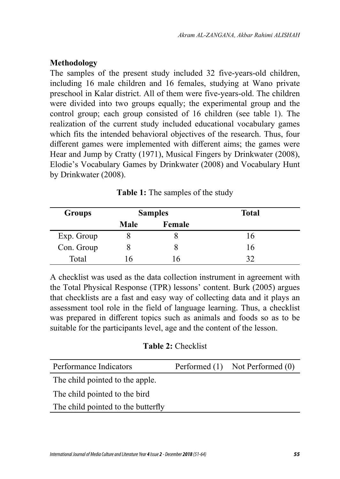#### **Methodology**

The samples of the present study included 32 five-years-old children, including 16 male children and 16 females, studying at Wano private preschool in Kalar district. All of them were five-years-old. The children were divided into two groups equally; the experimental group and the control group; each group consisted of 16 children (see table 1). The realization of the current study included educational vocabulary games which fits the intended behavioral objectives of the research. Thus, four different games were implemented with different aims; the games were Hear and Jump by Cratty (1971), Musical Fingers by Drinkwater (2008), Elodie's Vocabulary Games by Drinkwater (2008) and Vocabulary Hunt by Drinkwater (2008).

| <b>Groups</b> |              | <b>Samples</b> | <b>Total</b> |  |
|---------------|--------------|----------------|--------------|--|
|               | <b>Male</b>  | Female         |              |  |
| Exp. Group    |              |                | 16           |  |
| Con. Group    |              |                | 16           |  |
| Total         | $\mathsf{r}$ | h              | 32           |  |

A checklist was used as the data collection instrument in agreement with the Total Physical Response (TPR) lessons' content. Burk (2005) argues that checklists are a fast and easy way of collecting data and it plays an assessment tool role in the field of language learning. Thus, a checklist was prepared in different topics such as animals and foods so as to be suitable for the participants level, age and the content of the lesson.

#### **Table 2:** Checklist

| Performance Indicators             | Performed (1) Not Performed (0) |
|------------------------------------|---------------------------------|
| The child pointed to the apple.    |                                 |
| The child pointed to the bird      |                                 |
| The child pointed to the butterfly |                                 |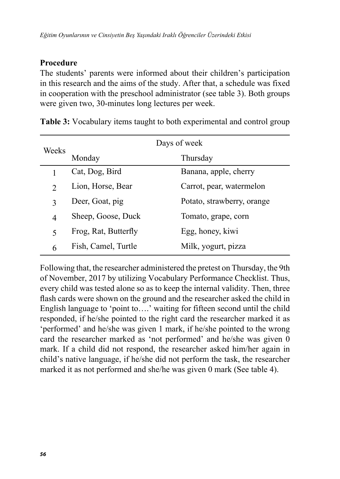### **Procedure**

The students' parents were informed about their children's participation in this research and the aims of the study. After that, a schedule was fixed in cooperation with the preschool administrator (see table 3). Both groups were given two, 30-minutes long lectures per week.

|                | Days of week         |                            |  |  |
|----------------|----------------------|----------------------------|--|--|
| Weeks          | Monday               | Thursday                   |  |  |
|                | Cat, Dog, Bird       | Banana, apple, cherry      |  |  |
| $\mathfrak{D}$ | Lion, Horse, Bear    | Carrot, pear, watermelon   |  |  |
| 3              | Deer, Goat, pig      | Potato, strawberry, orange |  |  |
| 4              | Sheep, Goose, Duck   | Tomato, grape, corn        |  |  |
| 5              | Frog, Rat, Butterfly | Egg, honey, kiwi           |  |  |
| 6              | Fish, Camel, Turtle  | Milk, yogurt, pizza        |  |  |

**Table 3:** Vocabulary items taught to both experimental and control group

Following that, the researcher administered the pretest on Thursday, the 9th of November, 2017 by utilizing Vocabulary Performance Checklist. Thus, every child was tested alone so as to keep the internal validity. Then, three flash cards were shown on the ground and the researcher asked the child in English language to 'point to….' waiting for fifteen second until the child responded, if he/she pointed to the right card the researcher marked it as 'performed' and he/she was given 1 mark, if he/she pointed to the wrong card the researcher marked as 'not performed' and he/she was given 0 mark. If a child did not respond, the researcher asked him/her again in child's native language, if he/she did not perform the task, the researcher marked it as not performed and she/he was given 0 mark (See table 4).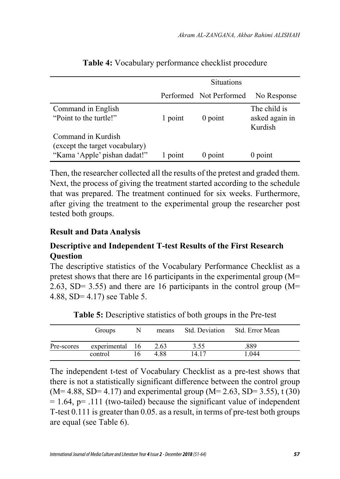|                                                                                      |         | <b>Situations</b>       |                                           |
|--------------------------------------------------------------------------------------|---------|-------------------------|-------------------------------------------|
|                                                                                      |         | Performed Not Performed | No Response                               |
| Command in English<br>"Point to the turtle!"                                         | 1 point | $0$ point               | The child is<br>asked again in<br>Kurdish |
| Command in Kurdish<br>(except the target vocabulary)<br>"Kama 'Apple' pishan dadat!" | 1 point | $0$ point               | $0$ point                                 |

#### **Table 4:** Vocabulary performance checklist procedure

Then, the researcher collected all the results of the pretest and graded them. Next, the process of giving the treatment started according to the schedule that was prepared. The treatment continued for six weeks. Furthermore, after giving the treatment to the experimental group the researcher post tested both groups.

#### **Result and Data Analysis**

### **Descriptive and Independent T-test Results of the First Research Question**

The descriptive statistics of the Vocabulary Performance Checklist as a pretest shows that there are 16 participants in the experimental group (M= 2.63, SD= 3.55) and there are 16 participants in the control group  $(M=$ 4.88, SD= 4.17) see Table 5.

| <b>Groups</b>              | <sup>N</sup> |      |       | means Std. Deviation Std. Error Mean |
|----------------------------|--------------|------|-------|--------------------------------------|
| Pre-scores experimental 16 |              | 2.63 | 3.55  | .889                                 |
| control                    | 16           | 4 88 | 14.17 | 1.044                                |

**Table 5:** Descriptive statistics of both groups in the Pre-test

The independent t-test of Vocabulary Checklist as a pre-test shows that there is not a statistically significant difference between the control group  $(M= 4.88, SD= 4.17)$  and experimental group  $(M= 2.63, SD= 3.55)$ , t (30)  $= 1.64$ ,  $p = .111$  (two-tailed) because the significant value of independent T-test 0.111 is greater than 0.05. as a result, in terms of pre-test both groups are equal (see Table 6).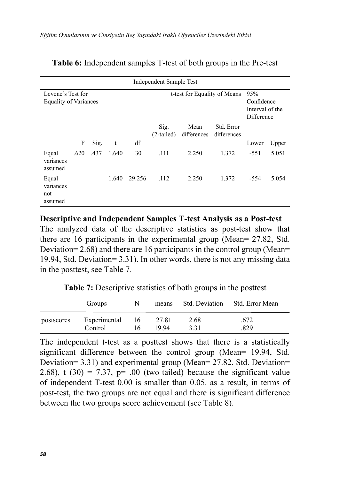| Independent Sample Test                           |      |      |       |        |                              |                     |                           |        |                                                    |  |
|---------------------------------------------------|------|------|-------|--------|------------------------------|---------------------|---------------------------|--------|----------------------------------------------------|--|
| Levene's Test for<br><b>Equality of Variances</b> |      |      |       |        | t-test for Equality of Means |                     |                           |        | 95%<br>Confidence<br>Interval of the<br>Difference |  |
|                                                   | F    | Sig. | t     | df     | Sig.<br>$(2-tailed)$         | Mean<br>differences | Std. Error<br>differences | Lower  | Upper                                              |  |
| Equal<br>variances<br>assumed                     | .620 | .437 | 1.640 | 30     | .111                         | 2.250               | 1.372                     | $-551$ | 5.051                                              |  |
| Equal<br>variances<br>not<br>assumed              |      |      | 1.640 | 29.256 | .112                         | 2.250               | 1.372                     | -554   | 5.054                                              |  |

#### **Table 6:** Independent samples T-test of both groups in the Pre-test

**Descriptive and Independent Samples T-test Analysis as a Post-test**

The analyzed data of the descriptive statistics as post-test show that there are 16 participants in the experimental group (Mean= 27.82, Std. Deviation= 2.68) and there are 16 participants in the control group (Mean= 19.94, Std. Deviation= 3.31). In other words, there is not any missing data in the posttest, see Table 7.

**Table 7:** Descriptive statistics of both groups in the posttest

|            | Groups                  | N        | means          |              | Std. Deviation Std. Error Mean |  |
|------------|-------------------------|----------|----------------|--------------|--------------------------------|--|
| postscores | Experimental<br>Control | 16<br>16 | 27.81<br>19 94 | 2.68<br>3.31 | .672<br>.829                   |  |

The independent t-test as a posttest shows that there is a statistically significant difference between the control group (Mean= 19.94, Std. Deviation= 3.31) and experimental group (Mean= 27.82, Std. Deviation= 2.68), t  $(30) = 7.37$ ,  $p= .00$  (two-tailed) because the significant value of independent T-test 0.00 is smaller than 0.05. as a result, in terms of post-test, the two groups are not equal and there is significant difference between the two groups score achievement (see Table 8).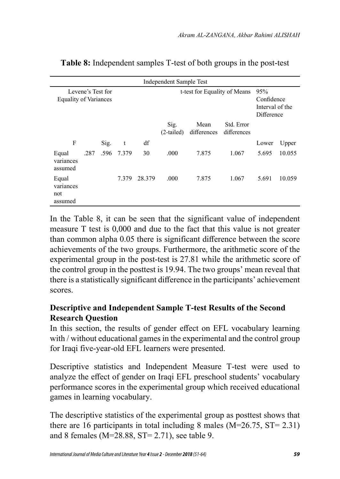| Independent Sample Test                           |      |      |            |        |                      |                              |                                                    |       |        |  |
|---------------------------------------------------|------|------|------------|--------|----------------------|------------------------------|----------------------------------------------------|-------|--------|--|
| Levene's Test for<br><b>Equality of Variances</b> |      |      |            |        |                      | t-test for Equality of Means | 95%<br>Confidence<br>Interval of the<br>Difference |       |        |  |
|                                                   |      |      |            |        | Sig.<br>$(2-tailed)$ | Mean<br>differences          | Std. Error<br>differences                          |       |        |  |
| F                                                 |      | Sig. | t          | df     |                      |                              |                                                    | Lower | Upper  |  |
| Equal<br>variances<br>assumed                     | .287 |      | .596 7.379 | 30     | .000                 | 7.875                        | 1.067                                              | 5.695 | 10.055 |  |
| Equal<br>variances<br>not<br>assumed              |      |      | 7.379      | 28.379 | .000                 | 7.875                        | 1.067                                              | 5.691 | 10.059 |  |

**Table 8:** Independent samples T-test of both groups in the post-test

In the Table 8, it can be seen that the significant value of independent measure T test is 0,000 and due to the fact that this value is not greater than common alpha 0.05 there is significant difference between the score achievements of the two groups. Furthermore, the arithmetic score of the experimental group in the post-test is 27.81 while the arithmetic score of the control group in the posttest is 19.94. The two groups' mean reveal that there is a statistically significant difference in the participants' achievement scores.

## **Descriptive and Independent Sample T-test Results of the Second Research Question**

In this section, the results of gender effect on EFL vocabulary learning with / without educational games in the experimental and the control group for Iraqi five-year-old EFL learners were presented.

Descriptive statistics and Independent Measure T-test were used to analyze the effect of gender on Iraqi EFL preschool students' vocabulary performance scores in the experimental group which received educational games in learning vocabulary.

The descriptive statistics of the experimental group as posttest shows that there are 16 participants in total including 8 males (M=26.75, ST= 2.31) and 8 females (M=28.88, ST= 2.71), see table 9.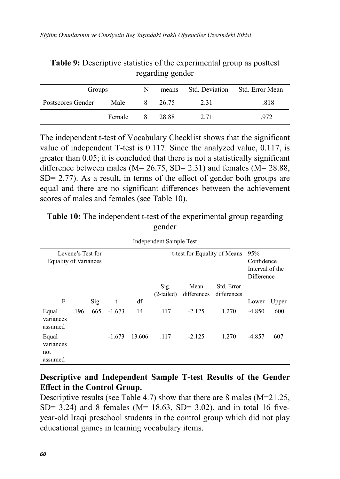| Groups            | N      |    |         | means Std. Deviation Std. Error Mean |      |
|-------------------|--------|----|---------|--------------------------------------|------|
| Postscores Gender | Male   |    | 8 26.75 | 2.31                                 | .818 |
|                   | Female | -8 | 28.88   | 2.71                                 | 972  |

**Table 9:** Descriptive statistics of the experimental group as posttest regarding gender

The independent t-test of Vocabulary Checklist shows that the significant value of independent T-test is 0.117. Since the analyzed value, 0.117, is greater than 0.05; it is concluded that there is not a statistically significant difference between males ( $M = 26.75$ , SD= 2.31) and females ( $M = 28.88$ , SD= 2.77). As a result, in terms of the effect of gender both groups are equal and there are no significant differences between the achievement scores of males and females (see Table 10).

| Independent Sample Test                           |      |      |          |        |                              |                                                    |                           |          |       |  |  |
|---------------------------------------------------|------|------|----------|--------|------------------------------|----------------------------------------------------|---------------------------|----------|-------|--|--|
| Levene's Test for<br><b>Equality of Variances</b> |      |      |          |        | t-test for Equality of Means | 95%<br>Confidence<br>Interval of the<br>Difference |                           |          |       |  |  |
|                                                   |      |      |          |        | Sig.<br>$(2-tailed)$         | Mean<br>differences                                | Std. Error<br>differences |          |       |  |  |
| F                                                 |      | Sig. | t        | df     |                              |                                                    |                           | Lower    | Upper |  |  |
| Equal<br>variances<br>assumed                     | .196 | .665 | $-1.673$ | 14     | .117                         | $-2.125$                                           | 1.270                     | $-4.850$ | .600  |  |  |
| Equal<br>variances<br>not<br>assumed              |      |      | $-1.673$ | 13.606 | .117                         | $-2.125$                                           | 1.270                     | $-4.857$ | 607   |  |  |

**Table 10:** The independent t-test of the experimental group regarding gender

#### **Descriptive and Independent Sample T-test Results of the Gender Effect in the Control Group.**

Descriptive results (see Table 4.7) show that there are 8 males (M=21.25, SD= 3.24) and 8 females ( $M= 18.63$ , SD= 3.02), and in total 16 fiveyear-old Iraqi preschool students in the control group which did not play educational games in learning vocabulary items.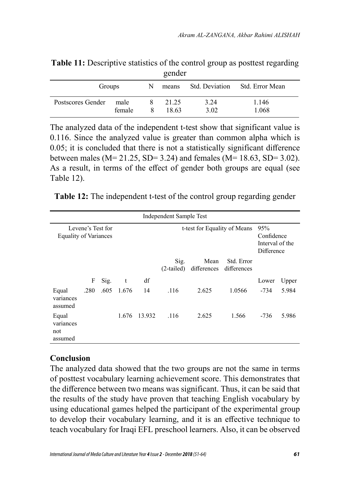|                   |                |   | $\epsilon$ on $\alpha$ |              |                                      |  |
|-------------------|----------------|---|------------------------|--------------|--------------------------------------|--|
| Groups            |                | N |                        |              | means Std. Deviation Std. Error Mean |  |
| Postscores Gender | male<br>female |   | 21.25<br>18.63         | 3.24<br>3.02 | 1.146<br>1.068                       |  |

**Table 11:** Descriptive statistics of the control group as posttest regarding gender

The analyzed data of the independent t-test show that significant value is 0.116. Since the analyzed value is greater than common alpha which is 0.05; it is concluded that there is not a statistically significant difference between males ( $M = 21.25$ , SD= 3.24) and females ( $M = 18.63$ , SD= 3.02). As a result, in terms of the effect of gender both groups are equal (see Table 12).

**Table 12:** The independent t-test of the control group regarding gender

| Independent Sample Test                           |      |      |       |                              |                                                    |                     |                           |        |       |  |
|---------------------------------------------------|------|------|-------|------------------------------|----------------------------------------------------|---------------------|---------------------------|--------|-------|--|
| Levene's Test for<br><b>Equality of Variances</b> |      |      |       | t-test for Equality of Means | 95%<br>Confidence<br>Interval of the<br>Difference |                     |                           |        |       |  |
|                                                   |      |      |       |                              | Sig.<br>$(2-tailed)$                               | Mean<br>differences | Std. Error<br>differences |        |       |  |
|                                                   | F    | Sig. | t     | df                           |                                                    |                     |                           | Lower  | Upper |  |
| Equal<br>variances<br>assumed                     | .280 | .605 | 1.676 | 14                           | .116                                               | 2.625               | 1.0566                    | $-734$ | 5.984 |  |
| Equal<br>variances<br>not<br>assumed              |      |      | 1.676 | 13.932                       | .116                                               | 2.625               | 1.566                     | -736   | 5.986 |  |

## **Conclusion**

The analyzed data showed that the two groups are not the same in terms of posttest vocabulary learning achievement score. This demonstrates that the difference between two means was significant. Thus, it can be said that the results of the study have proven that teaching English vocabulary by using educational games helped the participant of the experimental group to develop their vocabulary learning, and it is an effective technique to teach vocabulary for Iraqi EFL preschool learners. Also, it can be observed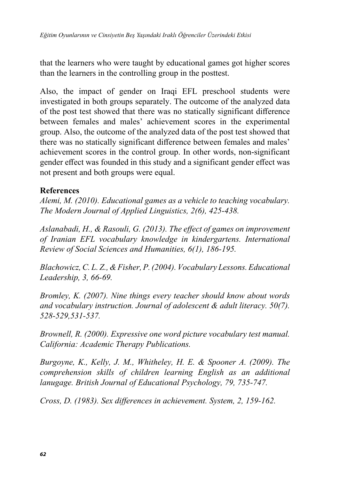that the learners who were taught by educational games got higher scores than the learners in the controlling group in the posttest.

Also, the impact of gender on Iraqi EFL preschool students were investigated in both groups separately. The outcome of the analyzed data of the post test showed that there was no statically significant difference between females and males' achievement scores in the experimental group. Also, the outcome of the analyzed data of the post test showed that there was no statically significant difference between females and males' achievement scores in the control group. In other words, non-significant gender effect was founded in this study and a significant gender effect was not present and both groups were equal.

#### **References**

*Alemi, M. (2010). Educational games as a vehicle to teaching vocabulary. The Modern Journal of Applied Linguistics, 2(6), 425-438.*

*Aslanabadi, H., & Rasouli, G. (2013). The effect of games on improvement of Iranian EFL vocabulary knowledge in kindergartens. International Review of Social Sciences and Humanities, 6(1), 186-195.*

*Blachowicz, C. L. Z., & Fisher, P. (2004). Vocabulary Lessons. Educational Leadership, 3, 66-69.*

*Bromley, K. (2007). Nine things every teacher should know about words and vocabulary instruction. Journal of adolescent & adult literacy. 50(7). 528-529,531-537.*

*Brownell, R. (2000). Expressive one word picture vocabulary test manual. California: Academic Therapy Publications.*

*Burgoyne, K., Kelly, J. M., Whitheley, H. E. & Spooner A. (2009). The comprehension skills of children learning English as an additional lanugage. British Journal of Educational Psychology, 79, 735-747.*

*Cross, D. (1983). Sex differences in achievement. System, 2, 159-162.*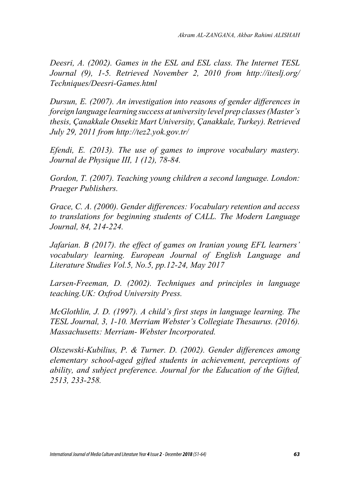*Deesri, A. (2002). Games in the ESL and ESL class. The Internet TESL Journal (9), 1-5. Retrieved November 2, 2010 from http://iteslj.org/ Techniques/Deesri-Games.html*

*Dursun, E. (2007). An investigation into reasons of gender differences in foreign language learning success at university level prep classes (Master's thesis, Çanakkale Onsekiz Mart University, Çanakkale, Turkey). Retrieved July 29, 2011 from http://tez2.yok.gov.tr/*

*Efendi, E. (2013). The use of games to improve vocabulary mastery. Journal de Physique III, 1 (12), 78-84.*

*Gordon, T. (2007). Teaching young children a second language. London: Praeger Publishers.*

*Grace, C. A. (2000). Gender differences: Vocabulary retention and access to translations for beginning students of CALL. The Modern Language Journal, 84, 214-224.*

*Jafarian. B (2017). the effect of games on Iranian young EFL learners' vocabulary learning. European Journal of English Language and Literature Studies Vol.5, No.5, pp.12-24, May 2017*

*Larsen-Freeman, D. (2002). Techniques and principles in language teaching.UK: Oxfrod University Press.*

*McGlothlin, J. D. (1997). A child's first steps in language learning. The TESL Journal, 3, 1-10. Merriam Webster's Collegiate Thesaurus. (2016). Massachusetts: Merriam- Webster Incorporated.*

*Olszewski-Kubilius, P. & Turner. D. (2002). Gender differences among elementary school-aged gifted students in achievement, perceptions of ability, and subject preference. Journal for the Education of the Gifted, 2513, 233-258.*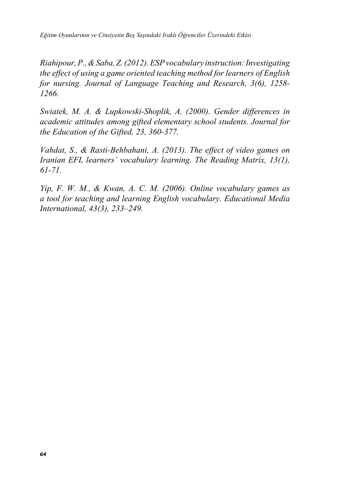*Eğitim Oyunlarının ve Cinsiyetin Beş Yaşındaki Iraklı Öğrenciler Üzerindeki Etkisi*

*Riahipour, P., & Saba, Z. (2012). ESP vocabulary instruction: Investigating the effect of using a game oriented teaching method for learners of English for nursing. Journal of Language Teaching and Research, 3(6), 1258- 1266.*

*Swiatek, M. A. & Lupkowski-Shoplik, A. (2000). Gender differences in academic attitudes among gifted elementary school students. Journal for the Education of the Gifted, 23, 360-377.*

*Vahdat, S., & Rasti-Behbahani, A. (2013). The effect of video games on Iranian EFL learners' vocabulary learning. The Reading Matrix, 13(1), 61-71.*

*Yip, F. W. M., & Kwan, A. C. M. (2006). Online vocabulary games as a tool for teaching and learning English vocabulary. Educational Media International, 43(3), 233–249.*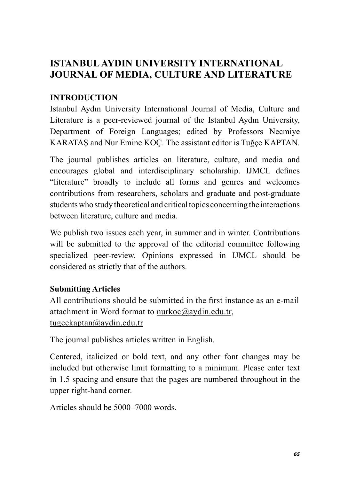# **ISTANBUL AYDIN UNIVERSITY INTERNATIONAL JOURNAL OF MEDIA, CULTURE AND LITERATURE**

## **INTRODUCTION**

Istanbul Aydın University International Journal of Media, Culture and Literature is a peer-reviewed journal of the Istanbul Aydın University, Department of Foreign Languages; edited by Professors Necmiye KARATAŞ and Nur Emine KOÇ. The assistant editor is Tuğçe KAPTAN.

The journal publishes articles on literature, culture, and media and encourages global and interdisciplinary scholarship. IJMCL defines "literature" broadly to include all forms and genres and welcomes contributions from researchers, scholars and graduate and post-graduate students who study theoretical and critical topics concerning the interactions between literature, culture and media.

We publish two issues each year, in summer and in winter. Contributions will be submitted to the approval of the editorial committee following specialized peer-review. Opinions expressed in IJMCL should be considered as strictly that of the authors.

## **Submitting Articles**

All contributions should be submitted in the first instance as an e-mail attachment in Word format to nurkoc@aydin.edu.tr, tugcekaptan@aydin.edu.tr

The journal publishes articles written in English.

Centered, italicized or bold text, and any other font changes may be included but otherwise limit formatting to a minimum. Please enter text in 1.5 spacing and ensure that the pages are numbered throughout in the upper right-hand corner.

Articles should be 5000–7000 words.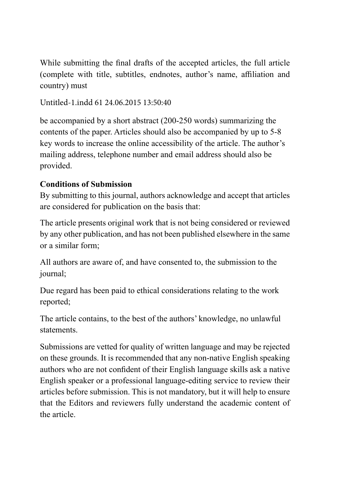While submitting the final drafts of the accepted articles, the full article (complete with title, subtitles, endnotes, author's name, affiliation and country) must

Untitled-1.indd 61 24.06.2015 13:50:40

be accompanied by a short abstract (200-250 words) summarizing the contents of the paper. Articles should also be accompanied by up to 5-8 key words to increase the online accessibility of the article. The author's mailing address, telephone number and email address should also be provided.

### **Conditions of Submission**

By submitting to this journal, authors acknowledge and accept that articles are considered for publication on the basis that:

The article presents original work that is not being considered or reviewed by any other publication, and has not been published elsewhere in the same or a similar form;

All authors are aware of, and have consented to, the submission to the journal;

Due regard has been paid to ethical considerations relating to the work reported;

The article contains, to the best of the authors' knowledge, no unlawful statements.

Submissions are vetted for quality of written language and may be rejected on these grounds. It is recommended that any non-native English speaking authors who are not confident of their English language skills ask a native English speaker or a professional language-editing service to review their articles before submission. This is not mandatory, but it will help to ensure that the Editors and reviewers fully understand the academic content of the article.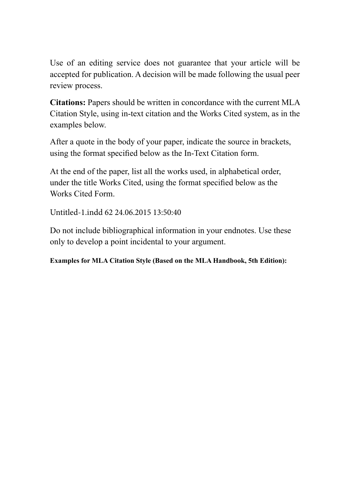Use of an editing service does not guarantee that your article will be accepted for publication. A decision will be made following the usual peer review process.

**Citations:** Papers should be written in concordance with the current MLA Citation Style, using in-text citation and the Works Cited system, as in the examples below.

After a quote in the body of your paper, indicate the source in brackets, using the format specified below as the In-Text Citation form.

At the end of the paper, list all the works used, in alphabetical order, under the title Works Cited, using the format specified below as the Works Cited Form.

Untitled-1.indd 62 24.06.2015 13:50:40

Do not include bibliographical information in your endnotes. Use these only to develop a point incidental to your argument.

**Examples for MLA Citation Style (Based on the MLA Handbook, 5th Edition):**